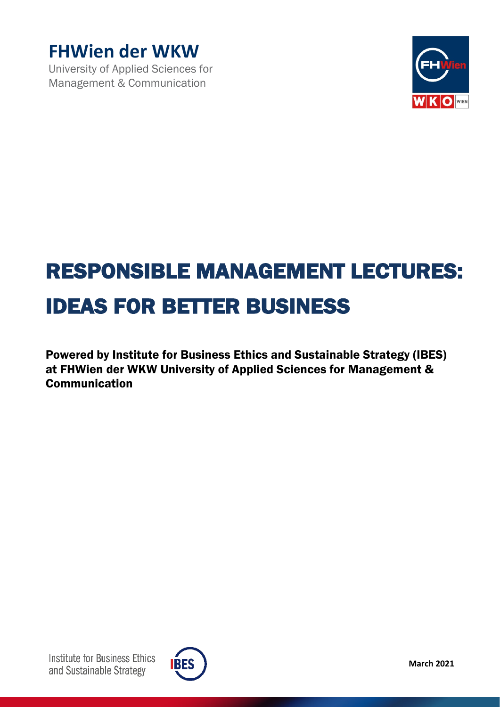

University of Applied Sciences for Management & Communication



# RESPONSIBLE MANAGEMENT LECTURES: IDEAS FOR BETTER BUSINESS

Powered by Institute for Business Ethics and Sustainable Strategy (IBES) at FHWien der WKW University of Applied Sciences for Management & Communication

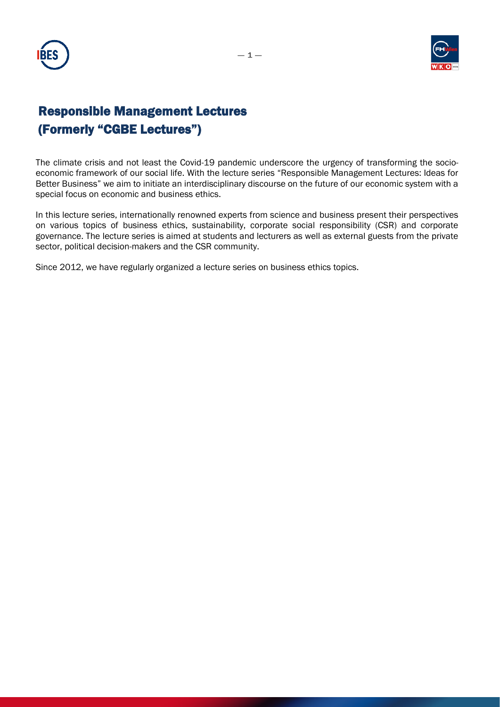



# Responsible Management Lectures (Formerly "CGBE Lectures")

The climate crisis and not least the Covid-19 pandemic underscore the urgency of transforming the socioeconomic framework of our social life. With the lecture series "Responsible Management Lectures: Ideas for Better Business" we aim to initiate an interdisciplinary discourse on the future of our economic system with a special focus on economic and business ethics.

In this lecture series, internationally renowned experts from science and business present their perspectives on various topics of business ethics, sustainability, corporate social responsibility (CSR) and corporate governance. The lecture series is aimed at students and lecturers as well as external guests from the private sector, political decision-makers and the CSR community.

Since 2012, we have regularly organized a lecture series on business ethics topics.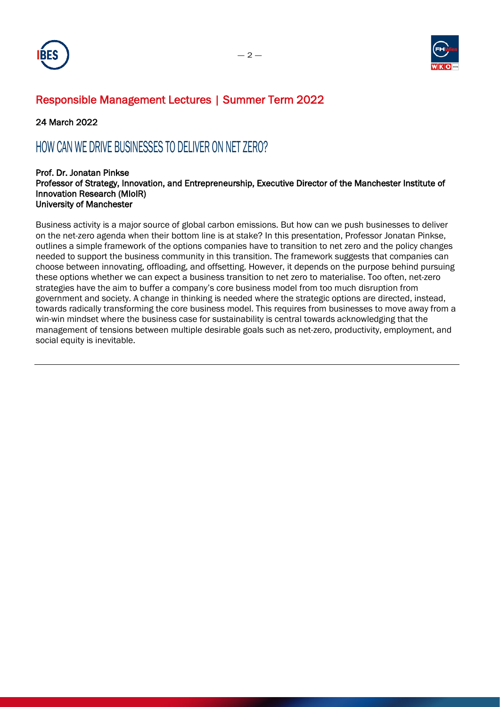



### Responsible Management Lectures | Summer Term 2022

24 March 2022

# HOW CAN WE DRIVE BUSINESSES TO DELIVER ON NET ZERO?

#### Prof. Dr. Jonatan Pinkse Professor of Strategy, Innovation, and Entrepreneurship, Executive Director of the Manchester Institute of Innovation Research (MIoIR) University of Manchester

Business activity is a major source of global carbon emissions. But how can we push businesses to deliver on the net-zero agenda when their bottom line is at stake? In this presentation, Professor Jonatan Pinkse, outlines a simple framework of the options companies have to transition to net zero and the policy changes needed to support the business community in this transition. The framework suggests that companies can choose between innovating, offloading, and offsetting. However, it depends on the purpose behind pursuing these options whether we can expect a business transition to net zero to materialise. Too often, net-zero strategies have the aim to buffer a company's core business model from too much disruption from government and society. A change in thinking is needed where the strategic options are directed, instead, towards radically transforming the core business model. This requires from businesses to move away from a win-win mindset where the business case for sustainability is central towards acknowledging that the management of tensions between multiple desirable goals such as net-zero, productivity, employment, and social equity is inevitable.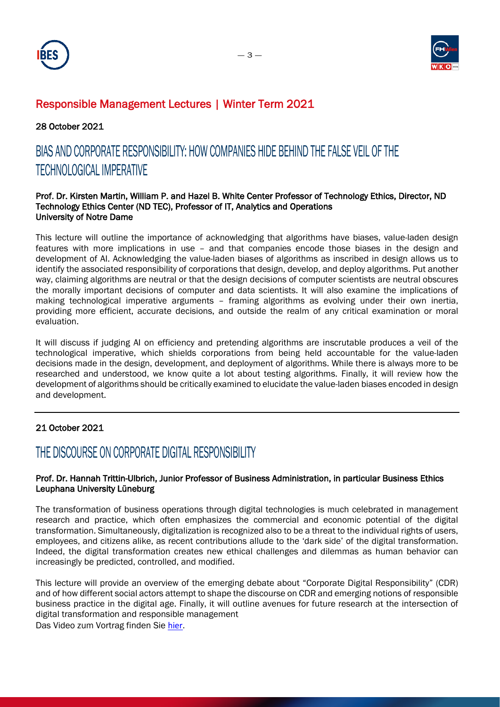



### Responsible Management Lectures | Winter Term 2021

28 October 2021

# BIAS AND CORPORATE RESPONSIBILITY: HOW COMPANIES HIDE BEHIND THE FALSE VEIL OF THE TECHNOLOGICAL IMPERATIVE

#### Prof. Dr. Kirsten Martin, William P. and Hazel B. White Center Professor of Technology Ethics, Director, ND Technology Ethics Center (ND TEC), Professor of IT, Analytics and Operations University of Notre Dame

This lecture will outline the importance of acknowledging that algorithms have biases, value-laden design features with more implications in use – and that companies encode those biases in the design and development of AI. Acknowledging the value-laden biases of algorithms as inscribed in design allows us to identify the associated responsibility of corporations that design, develop, and deploy algorithms. Put another way, claiming algorithms are neutral or that the design decisions of computer scientists are neutral obscures the morally important decisions of computer and data scientists. It will also examine the implications of making technological imperative arguments – framing algorithms as evolving under their own inertia, providing more efficient, accurate decisions, and outside the realm of any critical examination or moral evaluation.

It will discuss if judging AI on efficiency and pretending algorithms are inscrutable produces a veil of the technological imperative, which shields corporations from being held accountable for the value-laden decisions made in the design, development, and deployment of algorithms. While there is always more to be researched and understood, we know quite a lot about testing algorithms. Finally, it will review how the development of algorithms should be critically examined to elucidate the value-laden biases encoded in design and development.

### 21 October 2021

### THE DISCOURSE ON CORPORATE DIGITAL RESPONSIBILITY

### Prof. Dr. Hannah Trittin-Ulbrich, Junior Professor of Business Administration, in particular Business Ethics Leuphana University Lüneburg

The transformation of business operations through digital technologies is much celebrated in management research and practice, which often emphasizes the commercial and economic potential of the digital transformation. Simultaneously, digitalization is recognized also to be a threat to the individual rights of users, employees, and citizens alike, as recent contributions allude to the 'dark side' of the digital transformation. Indeed, the digital transformation creates new ethical challenges and dilemmas as human behavior can increasingly be predicted, controlled, and modified.

This lecture will provide an overview of the emerging debate about "Corporate Digital Responsibility" (CDR) and of how different social actors attempt to shape the discourse on CDR and emerging notions of responsible business practice in the digital age. Finally, it will outline avenues for future research at the intersection of digital transformation and responsible management

Das Video zum Vortrag finden Sie [hier.](https://www.youtube.com/watch?v=39ct-17_azM)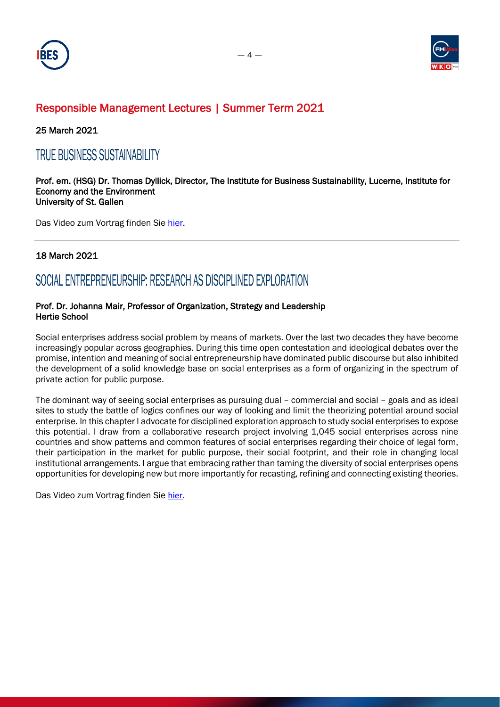



### Responsible Management Lectures | Summer Term 2021

25 March 2021

### TRUE BUSINESS SUSTAINABILITY

#### Prof. em. (HSG) Dr. Thomas Dyllick, Director, The Institute for Business Sustainability, Lucerne, Institute for Economy and the Environment University of St. Gallen

Das Video zum Vortrag finden Sie [hier.](https://www.youtube.com/watch?v=VbK6qT7vTSU)

### 18 March 2021

### SOCIAL ENTREPRENEURSHIP: RESEARCH AS DISCIPLINED EXPLORATION

### Prof. Dr. Johanna Mair, Professor of Organization, Strategy and Leadership Hertie School

Social enterprises address social problem by means of markets. Over the last two decades they have become increasingly popular across geographies. During this time open contestation and ideological debates over the promise, intention and meaning of social entrepreneurship have dominated public discourse but also inhibited the development of a solid knowledge base on social enterprises as a form of organizing in the spectrum of private action for public purpose.

The dominant way of seeing social enterprises as pursuing dual – commercial and social – goals and as ideal sites to study the battle of logics confines our way of looking and limit the theorizing potential around social enterprise. In this chapter I advocate for disciplined exploration approach to study social enterprises to expose this potential. I draw from a collaborative research project involving 1,045 social enterprises across nine countries and show patterns and common features of social enterprises regarding their choice of legal form, their participation in the market for public purpose, their social footprint, and their role in changing local institutional arrangements. I argue that embracing rather than taming the diversity of social enterprises opens opportunities for developing new but more importantly for recasting, refining and connecting existing theories.

Das Video zum Vortrag finden Sie [hier.](https://www.youtube.com/watch?v=pbTWXumO3aY)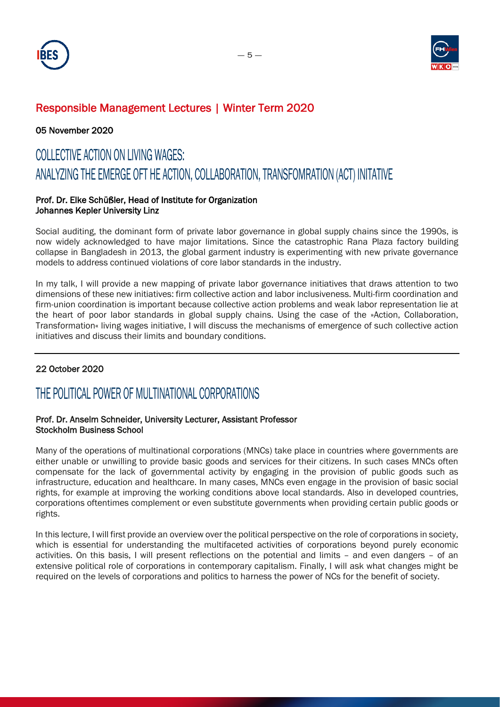



### Responsible Management Lectures | Winter Term 2020

05 November 2020

# COLLECTIVE ACTION ON LIVING WAGES: ANALYZING THE EMERGE OFT HE ACTION, COLLABORATION, TRANSFOMRATION (ACT) INITATIVE

### Prof. Dr. Elke Schüßler, Head of Institute for Organization Johannes Kepler University Linz

Social auditing, the dominant form of private labor governance in global supply chains since the 1990s, is now widely acknowledged to have major limitations. Since the catastrophic Rana Plaza factory building collapse in Bangladesh in 2013, the global garment industry is experimenting with new private governance models to address continued violations of core labor standards in the industry.

In my talk, I will provide a new mapping of private labor governance initiatives that draws attention to two dimensions of these new initiatives: firm collective action and labor inclusiveness. Multi-firm coordination and firm-union coordination is important because collective action problems and weak labor representation lie at the heart of poor labor standards in global supply chains. Using the case of the »Action, Collaboration, Transformation« living wages initiative, I will discuss the mechanisms of emergence of such collective action initiatives and discuss their limits and boundary conditions.

### 22 October 2020

# THE POLITICAL POWER OF MULTINATIONAL CORPORATIONS

### Prof. Dr. Anselm Schneider, University Lecturer, Assistant Professor Stockholm Business School

Many of the operations of multinational corporations (MNCs) take place in countries where governments are either unable or unwilling to provide basic goods and services for their citizens. In such cases MNCs often compensate for the lack of governmental activity by engaging in the provision of public goods such as infrastructure, education and healthcare. In many cases, MNCs even engage in the provision of basic social rights, for example at improving the working conditions above local standards. Also in developed countries, corporations oftentimes complement or even substitute governments when providing certain public goods or rights.

In this lecture, I will first provide an overview over the political perspective on the role of corporations in society, which is essential for understanding the multifaceted activities of corporations beyond purely economic activities. On this basis, I will present reflections on the potential and limits – and even dangers – of an extensive political role of corporations in contemporary capitalism. Finally, I will ask what changes might be required on the levels of corporations and politics to harness the power of NCs for the benefit of society.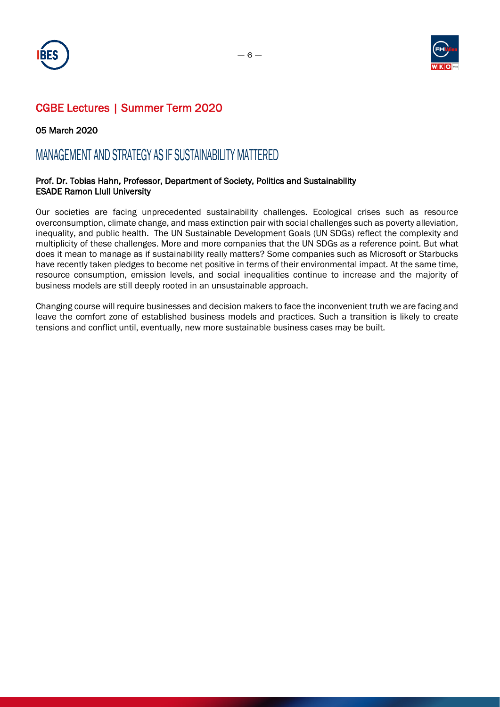



05 March 2020

### MANAGEMENT AND STRATEGY AS IF SUSTAINABILITY MATTERED

### Prof. Dr. Tobias Hahn, Professor, Department of Society, Politics and Sustainability ESADE Ramon Llull University

Our societies are facing unprecedented sustainability challenges. Ecological crises such as resource overconsumption, climate change, and mass extinction pair with social challenges such as poverty alleviation, inequality, and public health. The UN Sustainable Development Goals (UN SDGs) reflect the complexity and multiplicity of these challenges. More and more companies that the UN SDGs as a reference point. But what does it mean to manage as if sustainability really matters? Some companies such as Microsoft or Starbucks have recently taken pledges to become net positive in terms of their environmental impact. At the same time, resource consumption, emission levels, and social inequalities continue to increase and the majority of business models are still deeply rooted in an unsustainable approach.

Changing course will require businesses and decision makers to face the inconvenient truth we are facing and leave the comfort zone of established business models and practices. Such a transition is likely to create tensions and conflict until, eventually, new more sustainable business cases may be built.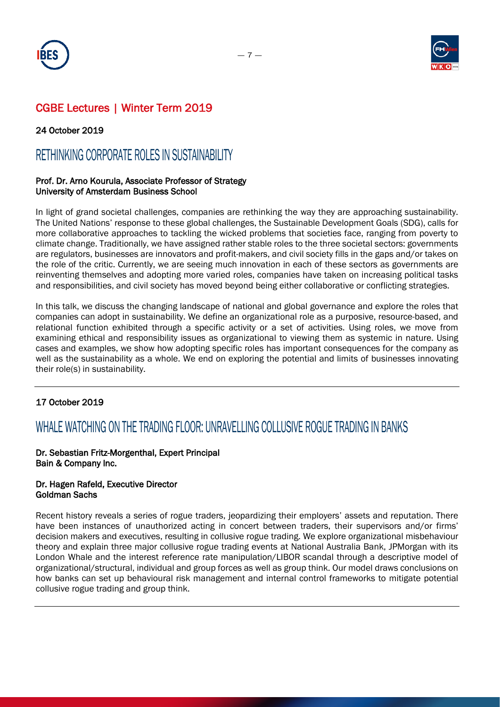



### 24 October 2019

### RETHINKING CORPORATE ROLES IN SUSTAINABILITY

### Prof. Dr. Arno Kourula, Associate Professor of Strategy University of Amsterdam Business School

In light of grand societal challenges, companies are rethinking the way they are approaching sustainability. The United Nations' response to these global challenges, the Sustainable Development Goals (SDG), calls for more collaborative approaches to tackling the wicked problems that societies face, ranging from poverty to climate change. Traditionally, we have assigned rather stable roles to the three societal sectors: governments are regulators, businesses are innovators and profit-makers, and civil society fills in the gaps and/or takes on the role of the critic. Currently, we are seeing much innovation in each of these sectors as governments are reinventing themselves and adopting more varied roles, companies have taken on increasing political tasks and responsibilities, and civil society has moved beyond being either collaborative or conflicting strategies.

In this talk, we discuss the changing landscape of national and global governance and explore the roles that companies can adopt in sustainability. We define an organizational role as a purposive, resource-based, and relational function exhibited through a specific activity or a set of activities. Using roles, we move from examining ethical and responsibility issues as organizational to viewing them as systemic in nature. Using cases and examples, we show how adopting specific roles has important consequences for the company as well as the sustainability as a whole. We end on exploring the potential and limits of businesses innovating their role(s) in sustainability.

### 17 October 2019

### WHALE WATCHING ON THE TRADING FLOOR: UNRAVELLING COLLUSIVE ROGUE TRADING IN BANKS

### Dr. Sebastian Fritz-Morgenthal, Expert Principal Bain & Company Inc.

#### Dr. Hagen Rafeld, Executive Director Goldman Sachs

Recent history reveals a series of rogue traders, jeopardizing their employers' assets and reputation. There have been instances of unauthorized acting in concert between traders, their supervisors and/or firms' decision makers and executives, resulting in collusive rogue trading. We explore organizational misbehaviour theory and explain three major collusive rogue trading events at National Australia Bank, JPMorgan with its London Whale and the interest reference rate manipulation/LIBOR scandal through a descriptive model of organizational/structural, individual and group forces as well as group think. Our model draws conclusions on how banks can set up behavioural risk management and internal control frameworks to mitigate potential collusive rogue trading and group think.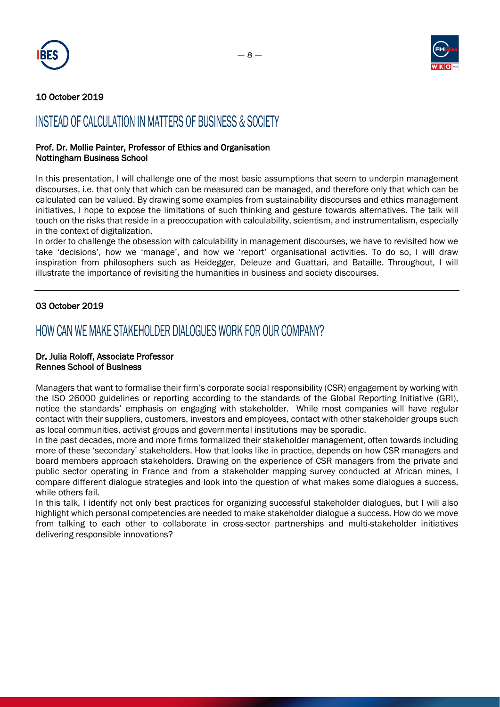



### 10 October 2019

# INSTEAD OF CALCULATION IN MATTERS OF BUSINESS & SOCIETY

#### Prof. Dr. Mollie Painter, Professor of Ethics and Organisation Nottingham Business School

In this presentation, I will challenge one of the most basic assumptions that seem to underpin management discourses, i.e. that only that which can be measured can be managed, and therefore only that which can be calculated can be valued. By drawing some examples from sustainability discourses and ethics management initiatives, I hope to expose the limitations of such thinking and gesture towards alternatives. The talk will touch on the risks that reside in a preoccupation with calculability, scientism, and instrumentalism, especially in the context of digitalization.

In order to challenge the obsession with calculability in management discourses, we have to revisited how we take 'decisions', how we 'manage', and how we 'report' organisational activities. To do so, I will draw inspiration from philosophers such as Heidegger, Deleuze and Guattari, and Bataille. Throughout, I will illustrate the importance of revisiting the humanities in business and society discourses.

### 03 October 2019

### HOW CAN WE MAKE STAKEHOLDER DIALOGUES WORK FOR OUR COMPANY?

#### Dr. Julia Roloff, Associate Professor Rennes School of Business

Managers that want to formalise their firm's corporate social responsibility (CSR) engagement by working with the ISO 26000 guidelines or reporting according to the standards of the Global Reporting Initiative (GRI), notice the standards' emphasis on engaging with stakeholder. While most companies will have regular contact with their suppliers, customers, investors and employees, contact with other stakeholder groups such as local communities, activist groups and governmental institutions may be sporadic.

In the past decades, more and more firms formalized their stakeholder management, often towards including more of these 'secondary' stakeholders. How that looks like in practice, depends on how CSR managers and board members approach stakeholders. Drawing on the experience of CSR managers from the private and public sector operating in France and from a stakeholder mapping survey conducted at African mines, I compare different dialogue strategies and look into the question of what makes some dialogues a success, while others fail.

In this talk, I identify not only best practices for organizing successful stakeholder dialogues, but I will also highlight which personal competencies are needed to make stakeholder dialogue a success. How do we move from talking to each other to collaborate in cross-sector partnerships and multi-stakeholder initiatives delivering responsible innovations?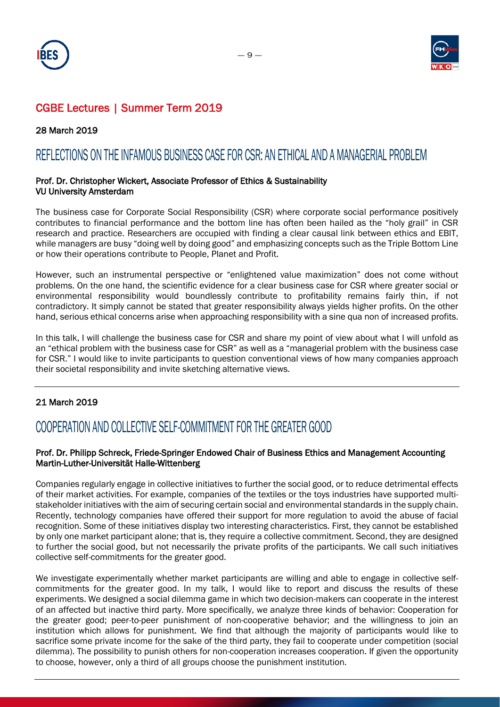



### 28 March 2019

### REFLECTIONS ON THE INFAMOUS BUSINESS CASE FOR CSR: AN ETHICAL AND A MANAGERIAL PROBLEM

### Prof. Dr. Christopher Wickert, Associate Professor of Ethics & Sustainability VU University Amsterdam

The business case for Corporate Social Responsibility (CSR) where corporate social performance positively contributes to financial performance and the bottom line has often been hailed as the "holy grail" in CSR research and practice. Researchers are occupied with finding a clear causal link between ethics and EBIT, while managers are busy "doing well by doing good" and emphasizing concepts such as the Triple Bottom Line or how their operations contribute to People, Planet and Profit.

However, such an instrumental perspective or "enlightened value maximization" does not come without problems. On the one hand, the scientific evidence for a clear business case for CSR where greater social or environmental responsibility would boundlessly contribute to profitability remains fairly thin, if not contradictory. It simply cannot be stated that greater responsibility always yields higher profits. On the other hand, serious ethical concerns arise when approaching responsibility with a sine qua non of increased profits.

In this talk, I will challenge the business case for CSR and share my point of view about what I will unfold as an "ethical problem with the business case for CSR" as well as a "managerial problem with the business case for CSR." I would like to invite participants to question conventional views of how many companies approach their societal responsibility and invite sketching alternative views.

### 21 March 2019

# COOPERATION AND COLLECTIVE SELF-COMMITMENT FOR THE GREATER GOOD

### Prof. Dr. Philipp Schreck, Friede-Springer Endowed Chair of Business Ethics and Management Accounting Martin-Luther-Universität Halle-Wittenberg

Companies regularly engage in collective initiatives to further the social good, or to reduce detrimental effects of their market activities. For example, companies of the textiles or the toys industries have supported multistakeholder initiatives with the aim of securing certain social and environmental standards in the supply chain. Recently, technology companies have offered their support for more regulation to avoid the abuse of facial recognition. Some of these initiatives display two interesting characteristics. First, they cannot be established by only one market participant alone; that is, they require a collective commitment. Second, they are designed to further the social good, but not necessarily the private profits of the participants. We call such initiatives collective self-commitments for the greater good.

We investigate experimentally whether market participants are willing and able to engage in collective selfcommitments for the greater good. In my talk, I would like to report and discuss the results of these experiments. We designed a social dilemma game in which two decision-makers can cooperate in the interest of an affected but inactive third party. More specifically, we analyze three kinds of behavior: Cooperation for the greater good; peer-to-peer punishment of non-cooperative behavior; and the willingness to join an institution which allows for punishment. We find that although the majority of participants would like to sacrifice some private income for the sake of the third party, they fail to cooperate under competition (social dilemma). The possibility to punish others for non-cooperation increases cooperation. If given the opportunity to choose, however, only a third of all groups choose the punishment institution.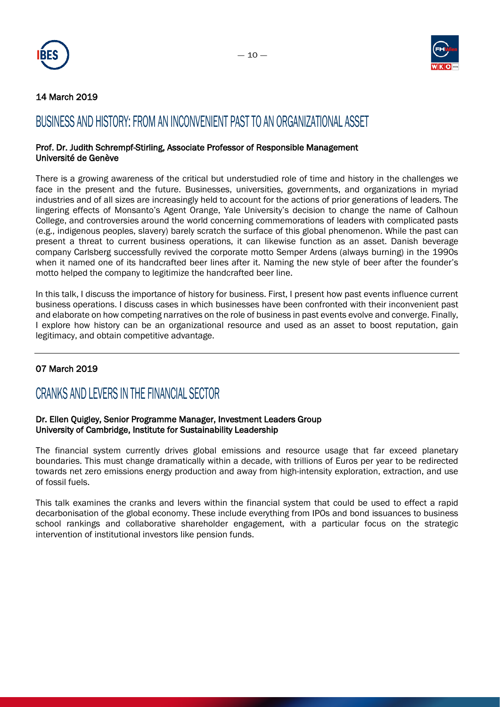



### 14 March 2019

### BUSINESS AND HISTORY: FROM AN INCONVENIENT PAST TO AN ORGANIZATIONAL ASSET

#### Prof. Dr. Judith Schrempf-Stirling, Associate Professor of Responsible Management Université de Genève

There is a growing awareness of the critical but understudied role of time and history in the challenges we face in the present and the future. Businesses, universities, governments, and organizations in myriad industries and of all sizes are increasingly held to account for the actions of prior generations of leaders. The lingering effects of Monsanto's Agent Orange, Yale University's decision to change the name of Calhoun College, and controversies around the world concerning commemorations of leaders with complicated pasts (e.g., indigenous peoples, slavery) barely scratch the surface of this global phenomenon. While the past can present a threat to current business operations, it can likewise function as an asset. Danish beverage company Carlsberg successfully revived the corporate motto Semper Ardens (always burning) in the 1990s when it named one of its handcrafted beer lines after it. Naming the new style of beer after the founder's motto helped the company to legitimize the handcrafted beer line.

In this talk, I discuss the importance of history for business. First, I present how past events influence current business operations. I discuss cases in which businesses have been confronted with their inconvenient past and elaborate on how competing narratives on the role of business in past events evolve and converge. Finally, I explore how history can be an organizational resource and used as an asset to boost reputation, gain legitimacy, and obtain competitive advantage.

### 07 March 2019

### CRANKS AND LEVERS IN THE FINANCIAL SECTOR

### Dr. Ellen Quigley, Senior Programme Manager, Investment Leaders Group University of Cambridge, Institute for Sustainability Leadership

The financial system currently drives global emissions and resource usage that far exceed planetary boundaries. This must change dramatically within a decade, with trillions of Euros per year to be redirected towards net zero emissions energy production and away from high-intensity exploration, extraction, and use of fossil fuels.

This talk examines the cranks and levers within the financial system that could be used to effect a rapid decarbonisation of the global economy. These include everything from IPOs and bond issuances to business school rankings and collaborative shareholder engagement, with a particular focus on the strategic intervention of institutional investors like pension funds.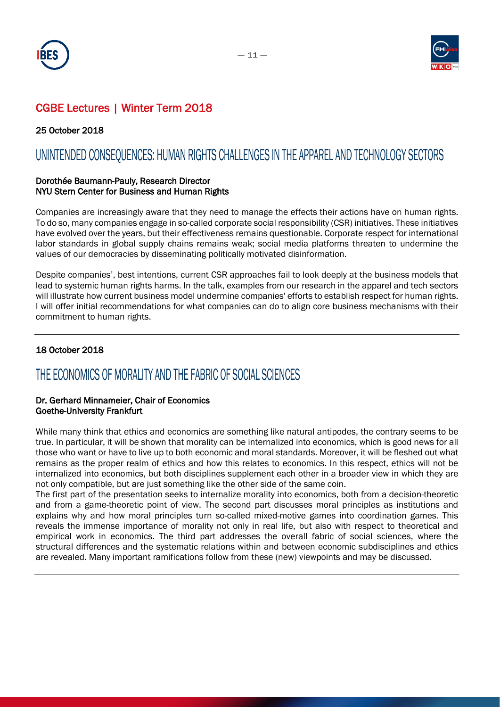



25 October 2018

## UNINTENDED CONSEQUENCES: HUMAN RIGHTS CHALLENGES IN THE APPAREL AND TECHNOLOGY SECTORS

### Dorothée Baumann-Pauly, Research Director NYU Stern Center for Business and Human Rights

Companies are increasingly aware that they need to manage the effects their actions have on human rights. To do so, many companies engage in so-called corporate social responsibility (CSR) initiatives. These initiatives have evolved over the years, but their effectiveness remains questionable. Corporate respect for international labor standards in global supply chains remains weak; social media platforms threaten to undermine the values of our democracies by disseminating politically motivated disinformation.

Despite companies', best intentions, current CSR approaches fail to look deeply at the business models that lead to systemic human rights harms. In the talk, examples from our research in the apparel and tech sectors will illustrate how current business model undermine companies' efforts to establish respect for human rights. I will offer initial recommendations for what companies can do to align core business mechanisms with their commitment to human rights.

### 18 October 2018

### THE ECONOMICS OF MORALITY AND THE FABRIC OF SOCIAL SCIENCES

### Dr. Gerhard Minnameier, Chair of Economics Goethe-University Frankfurt

While many think that ethics and economics are something like natural antipodes, the contrary seems to be true. In particular, it will be shown that morality can be internalized into economics, which is good news for all those who want or have to live up to both economic and moral standards. Moreover, it will be fleshed out what remains as the proper realm of ethics and how this relates to economics. In this respect, ethics will not be internalized into economics, but both disciplines supplement each other in a broader view in which they are not only compatible, but are just something like the other side of the same coin.

The first part of the presentation seeks to internalize morality into economics, both from a decision-theoretic and from a game-theoretic point of view. The second part discusses moral principles as institutions and explains why and how moral principles turn so-called mixed-motive games into coordination games. This reveals the immense importance of morality not only in real life, but also with respect to theoretical and empirical work in economics. The third part addresses the overall fabric of social sciences, where the structural differences and the systematic relations within and between economic subdisciplines and ethics are revealed. Many important ramifications follow from these (new) viewpoints and may be discussed.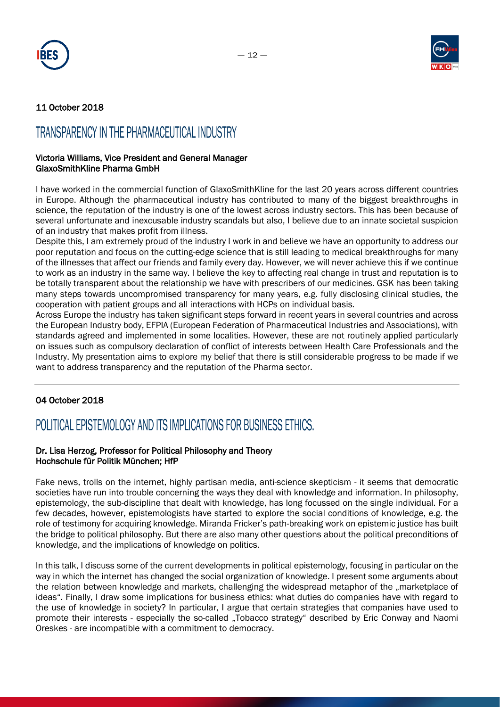



### 11 October 2018

### TRANSPARENCY IN THE PHARMACEUTICAL INDUSTRY

### Victoria Williams, Vice President and General Manager GlaxoSmithKline Pharma GmbH

I have worked in the commercial function of GlaxoSmithKline for the last 20 years across different countries in Europe. Although the pharmaceutical industry has contributed to many of the biggest breakthroughs in science, the reputation of the industry is one of the lowest across industry sectors. This has been because of several unfortunate and inexcusable industry scandals but also, I believe due to an innate societal suspicion of an industry that makes profit from illness.

Despite this, I am extremely proud of the industry I work in and believe we have an opportunity to address our poor reputation and focus on the cutting-edge science that is still leading to medical breakthroughs for many of the illnesses that affect our friends and family every day. However, we will never achieve this if we continue to work as an industry in the same way. I believe the key to affecting real change in trust and reputation is to be totally transparent about the relationship we have with prescribers of our medicines. GSK has been taking many steps towards uncompromised transparency for many years, e.g. fully disclosing clinical studies, the cooperation with patient groups and all interactions with HCPs on individual basis.

Across Europe the industry has taken significant steps forward in recent years in several countries and across the European Industry body, EFPIA (European Federation of Pharmaceutical Industries and Associations), with standards agreed and implemented in some localities. However, these are not routinely applied particularly on issues such as compulsory declaration of conflict of interests between Health Care Professionals and the Industry. My presentation aims to explore my belief that there is still considerable progress to be made if we want to address transparency and the reputation of the Pharma sector.

### 04 October 2018

# POLITICAL EPISTEMOLOGY AND ITS IMPLICATIONS FOR BUSINESS ETHICS.

### Dr. Lisa Herzog, Professor for Political Philosophy and Theory Hochschule für Politik München; HfP

Fake news, trolls on the internet, highly partisan media, anti-science skepticism - it seems that democratic societies have run into trouble concerning the ways they deal with knowledge and information. In philosophy, epistemology, the sub-discipline that dealt with knowledge, has long focussed on the single individual. For a few decades, however, epistemologists have started to explore the social conditions of knowledge, e.g. the role of testimony for acquiring knowledge. Miranda Fricker's path-breaking work on epistemic justice has built the bridge to political philosophy. But there are also many other questions about the political preconditions of knowledge, and the implications of knowledge on politics.

In this talk, I discuss some of the current developments in political epistemology, focusing in particular on the way in which the internet has changed the social organization of knowledge. I present some arguments about the relation between knowledge and markets, challenging the widespread metaphor of the "marketplace of ideas". Finally, I draw some implications for business ethics: what duties do companies have with regard to the use of knowledge in society? In particular, I argue that certain strategies that companies have used to promote their interests - especially the so-called "Tobacco strategy" described by Eric Conway and Naomi Oreskes - are incompatible with a commitment to democracy.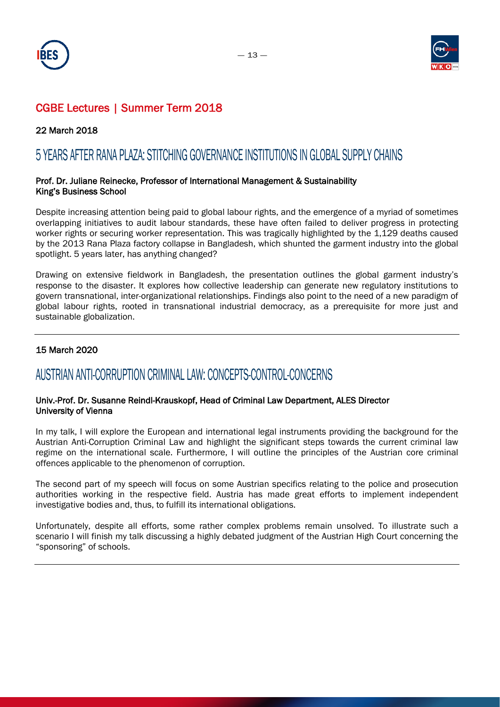



22 March 2018

### 5 YEARS AFTER RANA PLAZA: STITCHING GOVERNANCE INSTITUTIONS IN GLOBAL SUPPLY CHAINS

### Prof. Dr. Juliane Reinecke, Professor of International Management & Sustainability King's Business School

Despite increasing attention being paid to global labour rights, and the emergence of a myriad of sometimes overlapping initiatives to audit labour standards, these have often failed to deliver progress in protecting worker rights or securing worker representation. This was tragically highlighted by the 1,129 deaths caused by the 2013 Rana Plaza factory collapse in Bangladesh, which shunted the garment industry into the global spotlight. 5 years later, has anything changed?

Drawing on extensive fieldwork in Bangladesh, the presentation outlines the global garment industry's response to the disaster. It explores how collective leadership can generate new regulatory institutions to govern transnational, inter-organizational relationships. Findings also point to the need of a new paradigm of global labour rights, rooted in transnational industrial democracy, as a prerequisite for more just and sustainable globalization.

### 15 March 2020

### AUSTRIAN ANTI-CORRUPTION CRIMINAL LAW: CONCEPTS-CONTROL-CONCERNS

### Univ.-Prof. Dr. Susanne Reindl-Krauskopf, Head of Criminal Law Department, ALES Director University of Vienna

In my talk, I will explore the European and international legal instruments providing the background for the Austrian Anti-Corruption Criminal Law and highlight the significant steps towards the current criminal law regime on the international scale. Furthermore, I will outline the principles of the Austrian core criminal offences applicable to the phenomenon of corruption.

The second part of my speech will focus on some Austrian specifics relating to the police and prosecution authorities working in the respective field. Austria has made great efforts to implement independent investigative bodies and, thus, to fulfill its international obligations.

Unfortunately, despite all efforts, some rather complex problems remain unsolved. To illustrate such a scenario I will finish my talk discussing a highly debated judgment of the Austrian High Court concerning the "sponsoring" of schools.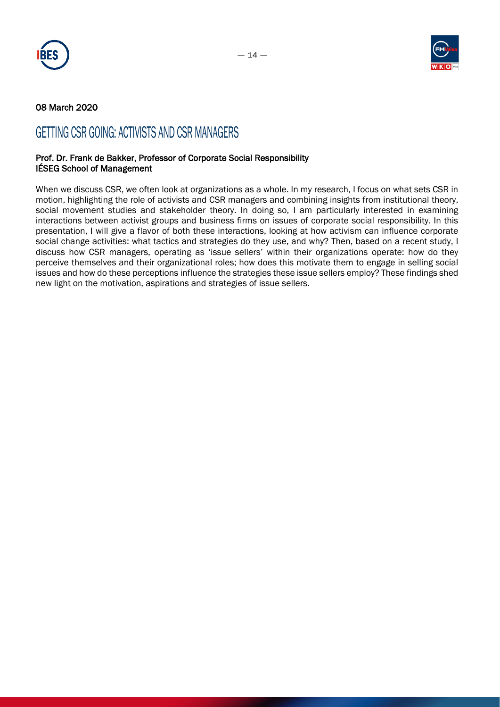



### 08 March 2020

### GETTING CSR GOING: ACTIVISTS AND CSR MANAGERS

#### Prof. Dr. Frank de Bakker, Professor of Corporate Social Responsibility IÉSEG School of Management

When we discuss CSR, we often look at organizations as a whole. In my research, I focus on what sets CSR in motion, highlighting the role of activists and CSR managers and combining insights from institutional theory, social movement studies and stakeholder theory. In doing so, I am particularly interested in examining interactions between activist groups and business firms on issues of corporate social responsibility. In this presentation, I will give a flavor of both these interactions, looking at how activism can influence corporate social change activities: what tactics and strategies do they use, and why? Then, based on a recent study, I discuss how CSR managers, operating as 'issue sellers' within their organizations operate: how do they perceive themselves and their organizational roles; how does this motivate them to engage in selling social issues and how do these perceptions influence the strategies these issue sellers employ? These findings shed new light on the motivation, aspirations and strategies of issue sellers.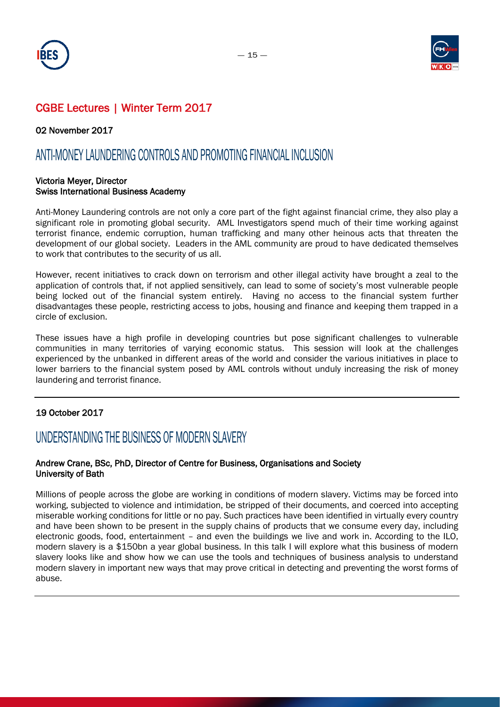



02 November 2017

### ANTI-MONEY LAUNDERING CONTROLS AND PROMOTING FINANCIAL INCLUSION

#### Victoria Meyer, Director Swiss International Business Academy

Anti-Money Laundering controls are not only a core part of the fight against financial crime, they also play a significant role in promoting global security. AML Investigators spend much of their time working against terrorist finance, endemic corruption, human trafficking and many other heinous acts that threaten the development of our global society. Leaders in the AML community are proud to have dedicated themselves to work that contributes to the security of us all.

However, recent initiatives to crack down on terrorism and other illegal activity have brought a zeal to the application of controls that, if not applied sensitively, can lead to some of society's most vulnerable people being locked out of the financial system entirely. Having no access to the financial system further disadvantages these people, restricting access to jobs, housing and finance and keeping them trapped in a circle of exclusion.

These issues have a high profile in developing countries but pose significant challenges to vulnerable communities in many territories of varying economic status. This session will look at the challenges experienced by the unbanked in different areas of the world and consider the various initiatives in place to lower barriers to the financial system posed by AML controls without unduly increasing the risk of money laundering and terrorist finance.

### 19 October 2017

### UNDERSTANDING THE BUSINESS OF MODERN SLAVERY

### Andrew Crane, BSc, PhD, Director of Centre for Business, Organisations and Society University of Bath

Millions of people across the globe are working in conditions of modern slavery. Victims may be forced into working, subjected to violence and intimidation, be stripped of their documents, and coerced into accepting miserable working conditions for little or no pay. Such practices have been identified in virtually every country and have been shown to be present in the supply chains of products that we consume every day, including electronic goods, food, entertainment – and even the buildings we live and work in. According to the ILO, modern slavery is a \$150bn a year global business. In this talk I will explore what this business of modern slavery looks like and show how we can use the tools and techniques of business analysis to understand modern slavery in important new ways that may prove critical in detecting and preventing the worst forms of abuse.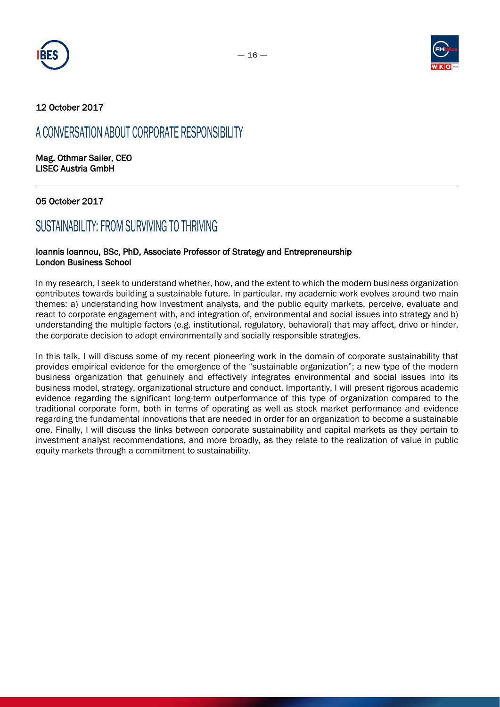



### 12 October 2017

### A CONVERSATION ABOUT CORPORATE RESPONSIBILITY

Mag. Othmar Sailer, CEO LISEC Austria GmbH

### 05 October 2017

### SUSTAINABILITY: FROM SURVIVING TO THRIVING

#### Ioannis Ioannou, BSc, PhD, Associate Professor of Strategy and Entrepreneurship London Business School

In my research, I seek to understand whether, how, and the extent to which the modern business organization contributes towards building a sustainable future. In particular, my academic work evolves around two main themes: a) understanding how investment analysts, and the public equity markets, perceive, evaluate and react to corporate engagement with, and integration of, environmental and social issues into strategy and b) understanding the multiple factors (e.g. institutional, regulatory, behavioral) that may affect, drive or hinder, the corporate decision to adopt environmentally and socially responsible strategies.

In this talk, I will discuss some of my recent pioneering work in the domain of corporate sustainability that provides empirical evidence for the emergence of the "sustainable organization"; a new type of the modern business organization that genuinely and effectively integrates environmental and social issues into its business model, strategy, organizational structure and conduct. Importantly, I will present rigorous academic evidence regarding the significant long-term outperformance of this type of organization compared to the traditional corporate form, both in terms of operating as well as stock market performance and evidence regarding the fundamental innovations that are needed in order for an organization to become a sustainable one. Finally, I will discuss the links between corporate sustainability and capital markets as they pertain to investment analyst recommendations, and more broadly, as they relate to the realization of value in public equity markets through a commitment to sustainability.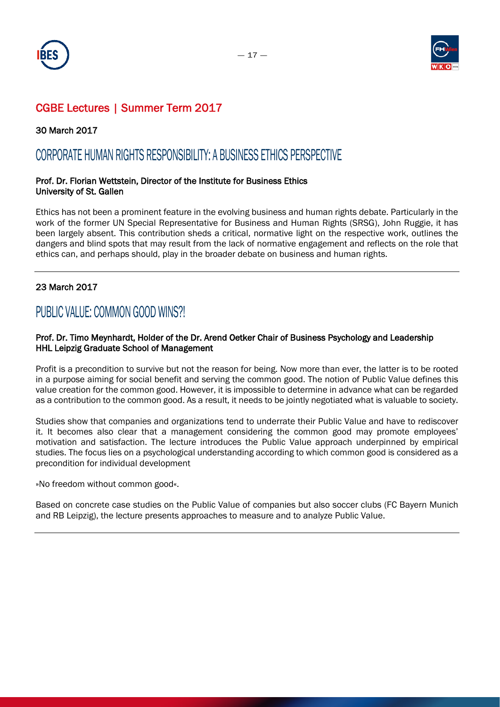



30 March 2017

### CORPORATE HUMAN RIGHTS RESPONSIBILITY: A BUSINESS ETHICS PERSPECTIVE

### Prof. Dr. Florian Wettstein, Director of the Institute for Business Ethics University of St. Gallen

Ethics has not been a prominent feature in the evolving business and human rights debate. Particularly in the work of the former UN Special Representative for Business and Human Rights (SRSG), John Ruggie, it has been largely absent. This contribution sheds a critical, normative light on the respective work, outlines the dangers and blind spots that may result from the lack of normative engagement and reflects on the role that ethics can, and perhaps should, play in the broader debate on business and human rights.

### 23 March 2017

### PUBLIC VALUE: COMMON GOOD WINS?!

### Prof. Dr. Timo Meynhardt, Holder of the Dr. Arend Oetker Chair of Business Psychology and Leadership HHL Leipzig Graduate School of Management

Profit is a precondition to survive but not the reason for being. Now more than ever, the latter is to be rooted in a purpose aiming for social benefit and serving the common good. The notion of Public Value defines this value creation for the common good. However, it is impossible to determine in advance what can be regarded as a contribution to the common good. As a result, it needs to be jointly negotiated what is valuable to society.

Studies show that companies and organizations tend to underrate their Public Value and have to rediscover it. It becomes also clear that a management considering the common good may promote employees' motivation and satisfaction. The lecture introduces the Public Value approach underpinned by empirical studies. The focus lies on a psychological understanding according to which common good is considered as a precondition for individual development

»No freedom without common good«.

Based on concrete case studies on the Public Value of companies but also soccer clubs (FC Bayern Munich and RB Leipzig), the lecture presents approaches to measure and to analyze Public Value.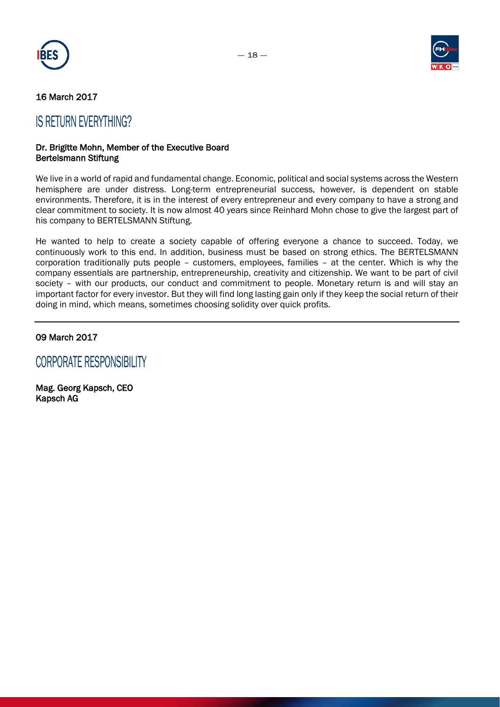



### 16 March 2017

### IS RETURN EVERYTHING?

#### Dr. Brigitte Mohn, Member of the Executive Board Bertelsmann Stiftung

We live in a world of rapid and fundamental change. Economic, political and social systems across the Western hemisphere are under distress. Long-term entrepreneurial success, however, is dependent on stable environments. Therefore, it is in the interest of every entrepreneur and every company to have a strong and clear commitment to society. It is now almost 40 years since Reinhard Mohn chose to give the largest part of his company to BERTELSMANN Stiftung.

He wanted to help to create a society capable of offering everyone a chance to succeed. Today, we continuously work to this end. In addition, business must be based on strong ethics. The BERTELSMANN corporation traditionally puts people – customers, employees, families – at the center. Which is why the company essentials are partnership, entrepreneurship, creativity and citizenship. We want to be part of civil society - with our products, our conduct and commitment to people. Monetary return is and will stay an important factor for every investor. But they will find long lasting gain only if they keep the social return of their doing in mind, which means, sometimes choosing solidity over quick profits.

### 09 March 2017

CORPORATE RESPONSIBILITY

Mag. Georg Kapsch, CEO Kapsch AG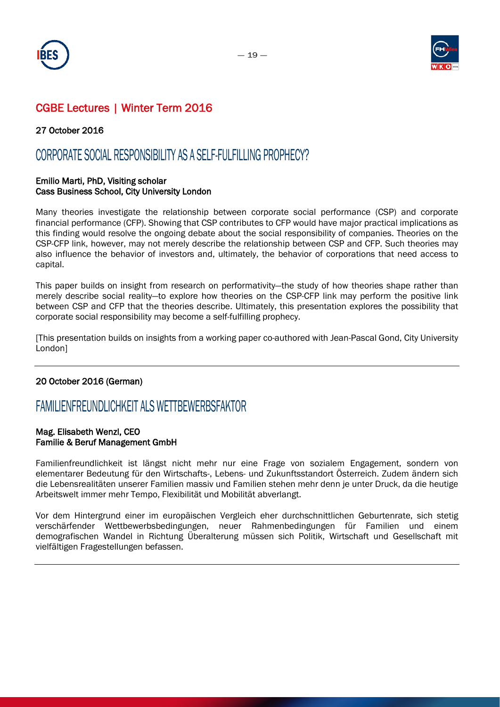



### 27 October 2016

### CORPORATE SOCIAL RESPONSIBILITY AS A SELF-FULFILLING PROPHECY?

#### Emilio Marti, PhD, Visiting scholar Cass Business School, City University London

Many theories investigate the relationship between corporate social performance (CSP) and corporate financial performance (CFP). Showing that CSP contributes to CFP would have major practical implications as this finding would resolve the ongoing debate about the social responsibility of companies. Theories on the CSP-CFP link, however, may not merely describe the relationship between CSP and CFP. Such theories may also influence the behavior of investors and, ultimately, the behavior of corporations that need access to capital.

This paper builds on insight from research on performativity—the study of how theories shape rather than merely describe social reality—to explore how theories on the CSP-CFP link may perform the positive link between CSP and CFP that the theories describe. Ultimately, this presentation explores the possibility that corporate social responsibility may become a self-fulfilling prophecy.

[This presentation builds on insights from a working paper co-authored with Jean-Pascal Gond, City University London]

### 20 October 2016 (German)

### FAMILIENFREUNDLICHKEIT ALS WETTBEWERBSFAKTOR

#### Mag. Elisabeth Wenzl, CEO Familie & Beruf Management GmbH

Familienfreundlichkeit ist längst nicht mehr nur eine Frage von sozialem Engagement, sondern von elementarer Bedeutung für den Wirtschafts-, Lebens- und Zukunftsstandort Österreich. Zudem ändern sich die Lebensrealitäten unserer Familien massiv und Familien stehen mehr denn je unter Druck, da die heutige Arbeitswelt immer mehr Tempo, Flexibilität und Mobilität abverlangt.

Vor dem Hintergrund einer im europäischen Vergleich eher durchschnittlichen Geburtenrate, sich stetig verschärfender Wettbewerbsbedingungen, neuer Rahmenbedingungen für Familien und einem demografischen Wandel in Richtung Überalterung müssen sich Politik, Wirtschaft und Gesellschaft mit vielfältigen Fragestellungen befassen.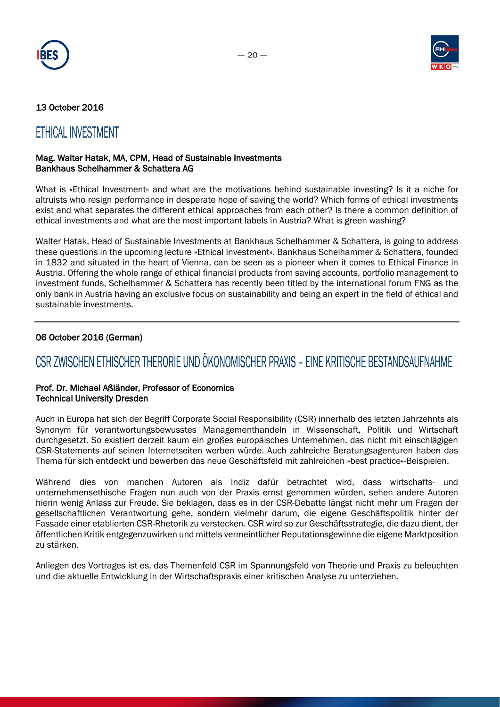



### 13 October 2016

### ETHICAL INVESTMENT

#### Mag. Walter Hatak, MA, CPM, Head of Sustainable Investments Bankhaus Schelhammer & Schattera AG

What is »Ethical Investment« and what are the motivations behind sustainable investing? Is it a niche for altruists who resign performance in desperate hope of saving the world? Which forms of ethical investments exist and what separates the different ethical approaches from each other? Is there a common definition of ethical investments and what are the most important labels in Austria? What is green washing?

Walter Hatak, Head of Sustainable Investments at Bankhaus Schelhammer & Schattera, is going to address these questions in the upcoming lecture »Ethical Investment«. Bankhaus Schelhammer & Schattera, founded in 1832 and situated in the heart of Vienna, can be seen as a pioneer when it comes to Ethical Finance in Austria. Offering the whole range of ethical financial products from saving accounts, portfolio management to investment funds, Schelhammer & Schattera has recently been titled by the international forum FNG as the only bank in Austria having an exclusive focus on sustainability and being an expert in the field of ethical and sustainable investments.

### 06 October 2016 (German)

# CSR ZWISCHEN ETHISCHER THERORIE UND ÖKONOMISCHER PRAXIS – EINE KRITISCHE BESTANDSAUFNAHME

#### Prof. Dr. Michael Aßländer, Professor of Economics Technical University Dresden

Auch in Europa hat sich der Begriff Corporate Social Responsibility (CSR) innerhalb des letzten Jahrzehnts als Synonym für verantwortungsbewusstes Managementhandeln in Wissenschaft, Politik und Wirtschaft durchgesetzt. So existiert derzeit kaum ein großes europäisches Unternehmen, das nicht mit einschlägigen CSR-Statements auf seinen Internetseiten werben würde. Auch zahlreiche Beratungsagenturen haben das Thema für sich entdeckt und bewerben das neue Geschäftsfeld mit zahlreichen »best practice«-Beispielen.

Während dies von manchen Autoren als Indiz dafür betrachtet wird, dass wirtschafts- und unternehmensethische Fragen nun auch von der Praxis ernst genommen würden, sehen andere Autoren hierin wenig Anlass zur Freude. Sie beklagen, dass es in der CSR-Debatte längst nicht mehr um Fragen der gesellschaftlichen Verantwortung gehe, sondern vielmehr darum, die eigene Geschäftspolitik hinter der Fassade einer etablierten CSR-Rhetorik zu verstecken. CSR wird so zur Geschäftsstrategie, die dazu dient, der öffentlichen Kritik entgegenzuwirken und mittels vermeintlicher Reputationsgewinne die eigene Marktposition zu stärken.

Anliegen des Vortrages ist es, das Themenfeld CSR im Spannungsfeld von Theorie und Praxis zu beleuchten und die aktuelle Entwicklung in der Wirtschaftspraxis einer kritischen Analyse zu unterziehen.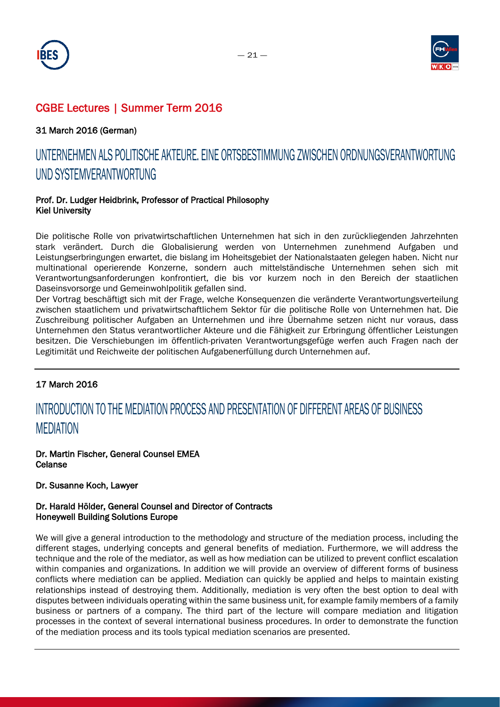



### 31 March 2016 (German)

# UNTERNEHMEN ALS POLITISCHE AKTEURE. EINE ORTSBESTIMMUNG ZWISCHEN ORDNUNGSVERANTWORTUNG UND SYSTEMVERANTWORTUNG

### Prof. Dr. Ludger Heidbrink, Professor of Practical Philosophy Kiel University

Die politische Rolle von privatwirtschaftlichen Unternehmen hat sich in den zurückliegenden Jahrzehnten stark verändert. Durch die Globalisierung werden von Unternehmen zunehmend Aufgaben und Leistungserbringungen erwartet, die bislang im Hoheitsgebiet der Nationalstaaten gelegen haben. Nicht nur multinational operierende Konzerne, sondern auch mittelständische Unternehmen sehen sich mit Verantwortungsanforderungen konfrontiert, die bis vor kurzem noch in den Bereich der staatlichen Daseinsvorsorge und Gemeinwohlpolitik gefallen sind.

Der Vortrag beschäftigt sich mit der Frage, welche Konsequenzen die veränderte Verantwortungsverteilung zwischen staatlichem und privatwirtschaftlichem Sektor für die politische Rolle von Unternehmen hat. Die Zuschreibung politischer Aufgaben an Unternehmen und ihre Übernahme setzen nicht nur voraus, dass Unternehmen den Status verantwortlicher Akteure und die Fähigkeit zur Erbringung öffentlicher Leistungen besitzen. Die Verschiebungen im öffentlich-privaten Verantwortungsgefüge werfen auch Fragen nach der Legitimität und Reichweite der politischen Aufgabenerfüllung durch Unternehmen auf.

### 17 March 2016

# INTRODUCTION TO THE MEDIATION PROCESS AND PRESENTATION OF DIFFERENT AREAS OF BUSINESS MEDIATION

Dr. Martin Fischer, General Counsel EMEA Celanse

#### Dr. Susanne Koch, Lawyer

### Dr. Harald Hölder, General Counsel and Director of Contracts Honeywell Building Solutions Europe

We will give a general introduction to the methodology and structure of the mediation process, including the different stages, underlying concepts and general benefits of mediation. Furthermore, we will address the technique and the role of the mediator, as well as how mediation can be utilized to prevent conflict escalation within companies and organizations. In addition we will provide an overview of different forms of business conflicts where mediation can be applied. Mediation can quickly be applied and helps to maintain existing relationships instead of destroying them. Additionally, mediation is very often the best option to deal with disputes between individuals operating within the same business unit, for example family members of a family business or partners of a company. The third part of the lecture will compare mediation and litigation processes in the context of several international business procedures. In order to demonstrate the function of the mediation process and its tools typical mediation scenarios are presented.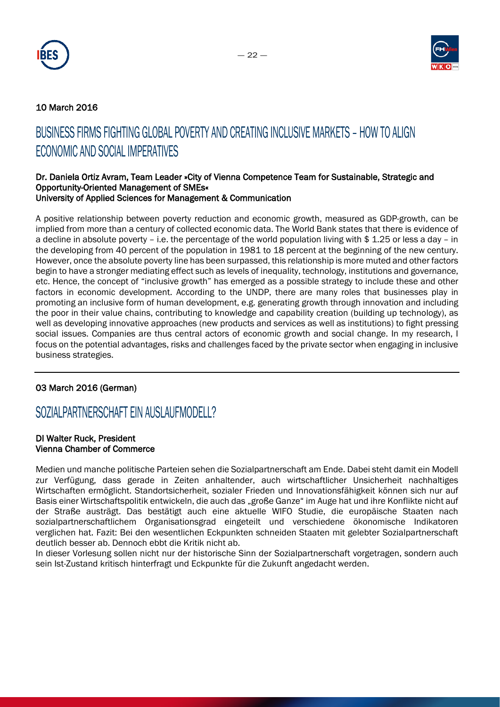



### 10 March 2016

# BUSINESS FIRMS FIGHTING GLOBAL POVERTY AND CREATING INCLUSIVE MARKETS – HOW TO ALIGN ECONOMIC AND SOCIAL IMPERATIVES

#### Dr. Daniela Ortiz Avram, Team Leader »City of Vienna Competence Team for Sustainable, Strategic and Opportunity-Oriented Management of SMEs« University of Applied Sciences for Management & Communication

A positive relationship between poverty reduction and economic growth, measured as GDP-growth, can be implied from more than a century of collected economic data. The World Bank states that there is evidence of a decline in absolute poverty – i.e. the percentage of the world population living with \$ 1.25 or less a day – in the developing from 40 percent of the population in 1981 to 18 percent at the beginning of the new century. However, once the absolute poverty line has been surpassed, this relationship is more muted and other factors begin to have a stronger mediating effect such as levels of inequality, technology, institutions and governance, etc. Hence, the concept of "inclusive growth" has emerged as a possible strategy to include these and other factors in economic development. According to the UNDP, there are many roles that businesses play in promoting an inclusive form of human development, e.g. generating growth through innovation and including the poor in their value chains, contributing to knowledge and capability creation (building up technology), as well as developing innovative approaches (new products and services as well as institutions) to fight pressing social issues. Companies are thus central actors of economic growth and social change. In my research, I focus on the potential advantages, risks and challenges faced by the private sector when engaging in inclusive business strategies.

### 03 March 2016 (German)

### SOZIALPARTNERSCHAFT EIN AUSLAUFMODELL?

#### DI Walter Ruck, President Vienna Chamber of Commerce

Medien und manche politische Parteien sehen die Sozialpartnerschaft am Ende. Dabei steht damit ein Modell zur Verfügung, dass gerade in Zeiten anhaltender, auch wirtschaftlicher Unsicherheit nachhaltiges Wirtschaften ermöglicht. Standortsicherheit, sozialer Frieden und Innovationsfähigkeit können sich nur auf Basis einer Wirtschaftspolitik entwickeln, die auch das "große Ganze" im Auge hat und ihre Konflikte nicht auf der Straße austrägt. Das bestätigt auch eine aktuelle WIFO Studie, die europäische Staaten nach sozialpartnerschaftlichem Organisationsgrad eingeteilt und verschiedene ökonomische Indikatoren verglichen hat. Fazit: Bei den wesentlichen Eckpunkten schneiden Staaten mit gelebter Sozialpartnerschaft deutlich besser ab. Dennoch ebbt die Kritik nicht ab.

In dieser Vorlesung sollen nicht nur der historische Sinn der Sozialpartnerschaft vorgetragen, sondern auch sein Ist-Zustand kritisch hinterfragt und Eckpunkte für die Zukunft angedacht werden.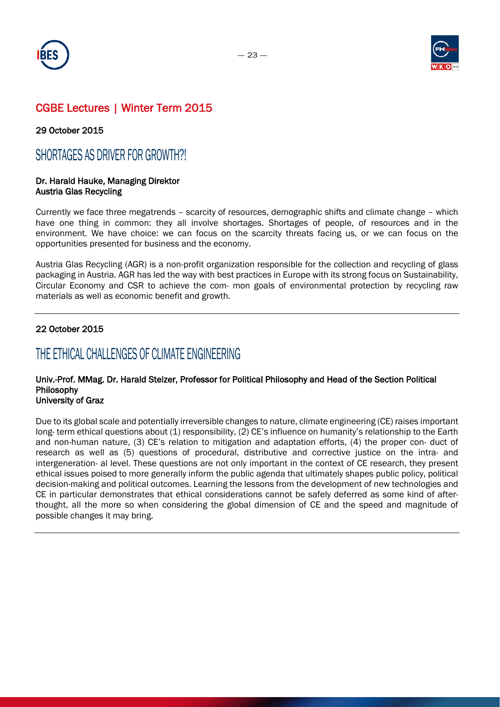



29 October 2015

### SHORTAGES AS DRIVER FOR GROWTH?!

#### Dr. Harald Hauke, Managing Direktor Austria Glas Recycling

Currently we face three megatrends – scarcity of resources, demographic shifts and climate change – which have one thing in common: they all involve shortages. Shortages of people, of resources and in the environment. We have choice: we can focus on the scarcity threats facing us, or we can focus on the opportunities presented for business and the economy.

Austria Glas Recycling (AGR) is a non-profit organization responsible for the collection and recycling of glass packaging in Austria. AGR has led the way with best practices in Europe with its strong focus on Sustainability, Circular Economy and CSR to achieve the com- mon goals of environmental protection by recycling raw materials as well as economic benefit and growth.

### 22 October 2015

### THE ETHICAL CHALLENGES OF CLIMATE ENGINEERING

### Univ.-Prof. MMag. Dr. Harald Stelzer, Professor for Political Philosophy and Head of the Section Political Philosophy

### University of Graz

Due to its global scale and potentially irreversible changes to nature, climate engineering (CE) raises important long- term ethical questions about (1) responsibility, (2) CE's influence on humanity's relationship to the Earth and non-human nature, (3) CE's relation to mitigation and adaptation efforts, (4) the proper con- duct of research as well as (5) questions of procedural, distributive and corrective justice on the intra- and intergeneration- al level. These questions are not only important in the context of CE research, they present ethical issues poised to more generally inform the public agenda that ultimately shapes public policy, political decision-making and political outcomes. Learning the lessons from the development of new technologies and CE in particular demonstrates that ethical considerations cannot be safely deferred as some kind of afterthought, all the more so when considering the global dimension of CE and the speed and magnitude of possible changes it may bring.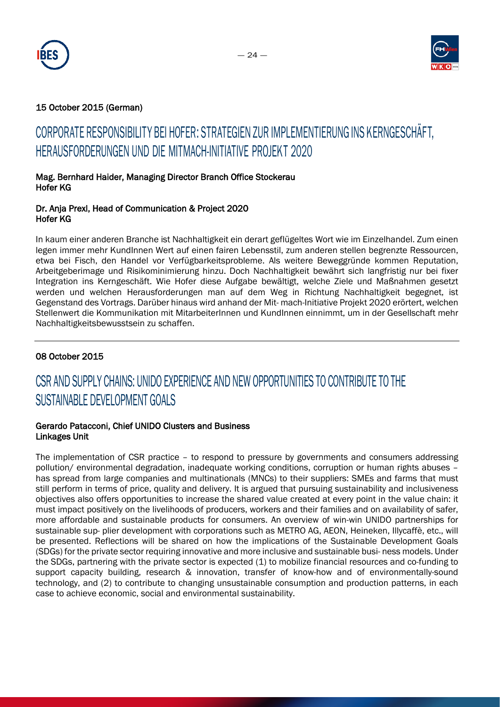



### 15 October 2015 (German)

# CORPORATE RESPONSIBILITY BEI HOFER: STRATEGIEN ZUR IMPLEMENTIERUNG INS KERNGESCHÄFT, HERAUSFORDERUNGEN UND DIE MITMACH-INITIATIVE PROJEKT 2020

### Mag. Bernhard Haider, Managing Director Branch Office Stockerau Hofer KG

### Dr. Anja Prexl, Head of Communication & Project 2020 Hofer KG

In kaum einer anderen Branche ist Nachhaltigkeit ein derart geflügeltes Wort wie im Einzelhandel. Zum einen legen immer mehr KundInnen Wert auf einen fairen Lebensstil, zum anderen stellen begrenzte Ressourcen, etwa bei Fisch, den Handel vor Verfügbarkeitsprobleme. Als weitere Beweggründe kommen Reputation, Arbeitgeberimage und Risikominimierung hinzu. Doch Nachhaltigkeit bewährt sich langfristig nur bei fixer Integration ins Kerngeschäft. Wie Hofer diese Aufgabe bewältigt, welche Ziele und Maßnahmen gesetzt werden und welchen Herausforderungen man auf dem Weg in Richtung Nachhaltigkeit begegnet, ist Gegenstand des Vortrags. Darüber hinaus wird anhand der Mit- mach-Initiative Projekt 2020 erörtert, welchen Stellenwert die Kommunikation mit MitarbeiterInnen und KundInnen einnimmt, um in der Gesellschaft mehr Nachhaltigkeitsbewusstsein zu schaffen.

### 08 October 2015

# CSR AND SUPPLY CHAINS: UNIDO EXPERIENCE AND NEW OPPORTUNITIES TO CONTRIBUTE TO THE SUSTAINABLE DEVELOPMENT GOALS

### Gerardo Patacconi, Chief UNIDO Clusters and Business Linkages Unit

The implementation of CSR practice – to respond to pressure by governments and consumers addressing pollution/ environmental degradation, inadequate working conditions, corruption or human rights abuses – has spread from large companies and multinationals (MNCs) to their suppliers: SMEs and farms that must still perform in terms of price, quality and delivery. It is argued that pursuing sustainability and inclusiveness objectives also offers opportunities to increase the shared value created at every point in the value chain: it must impact positively on the livelihoods of producers, workers and their families and on availability of safer, more affordable and sustainable products for consumers. An overview of win-win UNIDO partnerships for sustainable sup- plier development with corporations such as METRO AG, AEON, Heineken, Illycaffè, etc., will be presented. Reflections will be shared on how the implications of the Sustainable Development Goals (SDGs) for the private sector requiring innovative and more inclusive and sustainable busi- ness models. Under the SDGs, partnering with the private sector is expected (1) to mobilize financial resources and co-funding to support capacity building, research & innovation, transfer of know-how and of environmentally-sound technology, and (2) to contribute to changing unsustainable consumption and production patterns, in each case to achieve economic, social and environmental sustainability.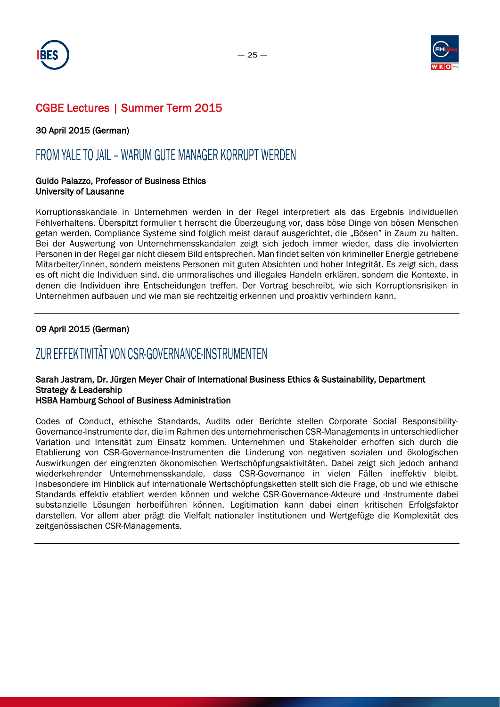



30 April 2015 (German)

### FROM YALE TO JAIL – WARUM GUTE MANAGER KORRUPT WERDEN

#### Guido Palazzo, Professor of Business Ethics University of Lausanne

Korruptionsskandale in Unternehmen werden in der Regel interpretiert als das Ergebnis individuellen Fehlverhaltens. Überspitzt formulier t herrscht die Überzeugung vor, dass böse Dinge von bösen Menschen getan werden. Compliance Systeme sind folglich meist darauf ausgerichtet, die "Bösen" in Zaum zu halten. Bei der Auswertung von Unternehmensskandalen zeigt sich jedoch immer wieder, dass die involvierten Personen in der Regel gar nicht diesem Bild entsprechen. Man findet selten von krimineller Energie getriebene Mitarbeiter/innen, sondern meistens Personen mit guten Absichten und hoher Integrität. Es zeigt sich, dass es oft nicht die Individuen sind, die unmoralisches und illegales Handeln erklären, sondern die Kontexte, in denen die Individuen ihre Entscheidungen treffen. Der Vortrag beschreibt, wie sich Korruptionsrisiken in Unternehmen aufbauen und wie man sie rechtzeitig erkennen und proaktiv verhindern kann.

### 09 April 2015 (German)

# ZUR EFFEKTIVITÄT VON CSR-GOVERNANCE-INSTRUMENTEN

### Sarah Jastram, Dr. Jürgen Meyer Chair of International Business Ethics & Sustainability, Department Strategy & Leadership

#### HSBA Hamburg School of Business Administration

Codes of Conduct, ethische Standards, Audits oder Berichte stellen Corporate Social Responsibility-Governance-Instrumente dar, die im Rahmen des unternehmerischen CSR-Managements in unterschiedlicher Variation und Intensität zum Einsatz kommen. Unternehmen und Stakeholder erhoffen sich durch die Etablierung von CSR-Governance-Instrumenten die Linderung von negativen sozialen und ökologischen Auswirkungen der eingrenzten ökonomischen Wertschöpfungsaktivitäten. Dabei zeigt sich jedoch anhand wiederkehrender Unternehmensskandale, dass CSR-Governance in vielen Fällen ineffektiv bleibt. Insbesondere im Hinblick auf internationale Wertschöpfungsketten stellt sich die Frage, ob und wie ethische Standards effektiv etabliert werden können und welche CSR-Governance-Akteure und -Instrumente dabei substanzielle Lösungen herbeiführen können. Legitimation kann dabei einen kritischen Erfolgsfaktor darstellen. Vor allem aber prägt die Vielfalt nationaler Institutionen und Wertgefüge die Komplexität des zeitgenössischen CSR-Managements.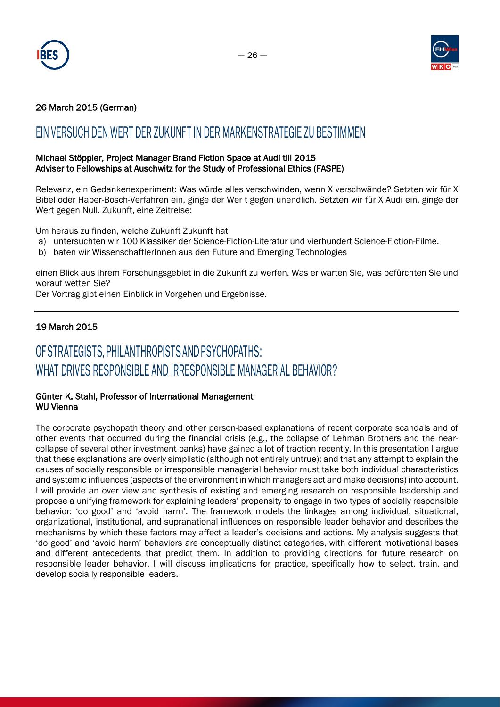



### 26 March 2015 (German)

### EIN VERSUCH DEN WERT DER ZUKUNFT IN DER MARKENSTRATEGIE ZU BESTIMMEN

### Michael Stöppler, Project Manager Brand Fiction Space at Audi till 2015 Adviser to Fellowships at Auschwitz for the Study of Professional Ethics (FASPE)

Relevanz, ein Gedankenexperiment: Was würde alles verschwinden, wenn X verschwände? Setzten wir für X Bibel oder Haber-Bosch-Verfahren ein, ginge der Wer t gegen unendlich. Setzten wir für X Audi ein, ginge der Wert gegen Null. Zukunft, eine Zeitreise:

Um heraus zu finden, welche Zukunft Zukunft hat

- a) untersuchten wir 100 Klassiker der Science-Fiction-Literatur und vierhundert Science-Fiction-Filme.
- b) baten wir WissenschaftlerInnen aus den Future and Emerging Technologies

einen Blick aus ihrem Forschungsgebiet in die Zukunft zu werfen. Was er warten Sie, was befürchten Sie und worauf wetten Sie?

Der Vortrag gibt einen Einblick in Vorgehen und Ergebnisse.

### 19 March 2015

# OF STRATEGISTS, PHILANTHROPISTS ANDPSYCHOPATHS: WHAT DRIVES RESPONSIBLE AND IRRESPONSIBLE MANAGERIAL BEHAVIOR?

#### Günter K. Stahl, Professor of International Management WU Vienna

The corporate psychopath theory and other person-based explanations of recent corporate scandals and of other events that occurred during the financial crisis (e.g., the collapse of Lehman Brothers and the nearcollapse of several other investment banks) have gained a lot of traction recently. In this presentation I argue that these explanations are overly simplistic (although not entirely untrue); and that any attempt to explain the causes of socially responsible or irresponsible managerial behavior must take both individual characteristics and systemic influences (aspects of the environment in which managers act and make decisions) into account. I will provide an over view and synthesis of existing and emerging research on responsible leadership and propose a unifying framework for explaining leaders' propensity to engage in two types of socially responsible behavior: 'do good' and 'avoid harm'. The framework models the linkages among individual, situational, organizational, institutional, and supranational influences on responsible leader behavior and describes the mechanisms by which these factors may affect a leader's decisions and actions. My analysis suggests that 'do good' and 'avoid harm' behaviors are conceptually distinct categories, with different motivational bases and different antecedents that predict them. In addition to providing directions for future research on responsible leader behavior, I will discuss implications for practice, specifically how to select, train, and develop socially responsible leaders.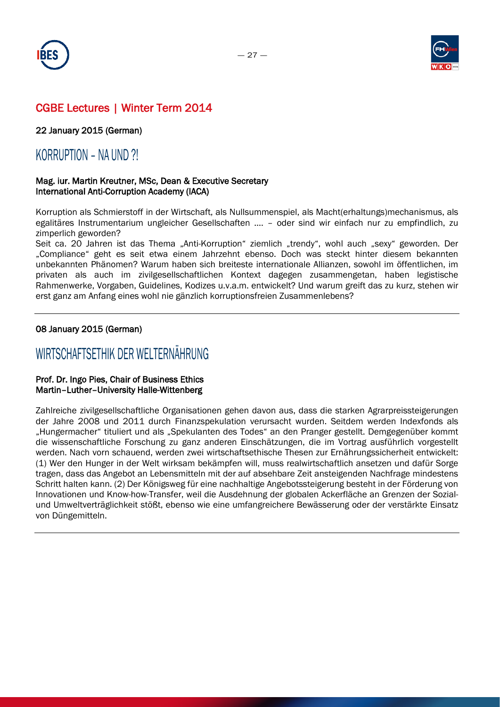



22 January 2015 (German)

### KORRUPTION – NA UND ?!

### Mag. iur. Martin Kreutner, MSc, Dean & Executive Secretary International Anti-Corruption Academy (IACA)

Korruption als Schmierstoff in der Wirtschaft, als Nullsummenspiel, als Macht(erhaltungs)mechanismus, als egalitäres Instrumentarium ungleicher Gesellschaften …. – oder sind wir einfach nur zu empfindlich, zu zimperlich geworden?

Seit ca. 20 Jahren ist das Thema "Anti-Korruption" ziemlich "trendy", wohl auch "sexy" geworden. Der "Compliance" geht es seit etwa einem Jahrzehnt ebenso. Doch was steckt hinter diesem bekannten unbekannten Phänomen? Warum haben sich breiteste internationale Allianzen, sowohl im öffentlichen, im privaten als auch im zivilgesellschaftlichen Kontext dagegen zusammengetan, haben legistische Rahmenwerke, Vorgaben, Guidelines, Kodizes u.v.a.m. entwickelt? Und warum greift das zu kurz, stehen wir erst ganz am Anfang eines wohl nie gänzlich korruptionsfreien Zusammenlebens?

### 08 January 2015 (German)

### WIRTSCHAFTSETHIK DER WELTERNÄHRUNG

### Prof. Dr. Ingo Pies, Chair of Business Ethics Martin–Luther–University Halle-Wittenberg

Zahlreiche zivilgesellschaftliche Organisationen gehen davon aus, dass die starken Agrarpreissteigerungen der Jahre 2008 und 2011 durch Finanzspekulation verursacht wurden. Seitdem werden Indexfonds als "Hungermacher" tituliert und als "Spekulanten des Todes" an den Pranger gestellt. Demgegenüber kommt die wissenschaftliche Forschung zu ganz anderen Einschätzungen, die im Vortrag ausführlich vorgestellt werden. Nach vorn schauend, werden zwei wirtschaftsethische Thesen zur Ernährungssicherheit entwickelt: (1) Wer den Hunger in der Welt wirksam bekämpfen will, muss realwirtschaftlich ansetzen und dafür Sorge tragen, dass das Angebot an Lebensmitteln mit der auf absehbare Zeit ansteigenden Nachfrage mindestens Schritt halten kann. (2) Der Königsweg für eine nachhaltige Angebotssteigerung besteht in der Förderung von Innovationen und Know-how-Transfer, weil die Ausdehnung der globalen Ackerfläche an Grenzen der Sozialund Umweltverträglichkeit stößt, ebenso wie eine umfangreichere Bewässerung oder der verstärkte Einsatz von Düngemitteln.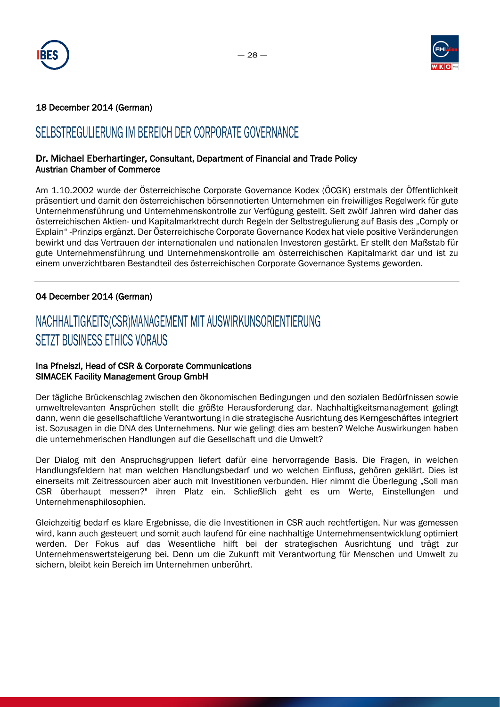



### 18 December 2014 (German)

### SELBSTREGULIERUNG IM BEREICH DER CORPORATE GOVERNANCE

### Dr. Michael Eberhartinger, Consultant, Department of Financial and Trade Policy Austrian Chamber of Commerce

Am 1.10.2002 wurde der Österreichische Corporate Governance Kodex (ÖCGK) erstmals der Öffentlichkeit präsentiert und damit den österreichischen börsennotierten Unternehmen ein freiwilliges Regelwerk für gute Unternehmensführung und Unternehmenskontrolle zur Verfügung gestellt. Seit zwölf Jahren wird daher das österreichischen Aktien- und Kapitalmarktrecht durch Regeln der Selbstregulierung auf Basis des "Comply or Explain" -Prinzips ergänzt. Der Österreichische Corporate Governance Kodex hat viele positive Veränderungen bewirkt und das Vertrauen der internationalen und nationalen Investoren gestärkt. Er stellt den Maßstab für gute Unternehmensführung und Unternehmenskontrolle am österreichischen Kapitalmarkt dar und ist zu einem unverzichtbaren Bestandteil des österreichischen Corporate Governance Systems geworden.

### 04 December 2014 (German)

# NACHHALTIGKEITS(CSR)MANAGEMENT MIT AUSWIRKUNSORIENTIERUNG SETZT BUSINESS ETHICS VORAUS

### Ina Pfneiszl, Head of CSR & Corporate Communications SIMACEK Facility Management Group GmbH

Der tägliche Brückenschlag zwischen den ökonomischen Bedingungen und den sozialen Bedürfnissen sowie umweltrelevanten Ansprüchen stellt die größte Herausforderung dar. Nachhaltigkeitsmanagement gelingt dann, wenn die gesellschaftliche Verantwortung in die strategische Ausrichtung des Kerngeschäftes integriert ist. Sozusagen in die DNA des Unternehmens. Nur wie gelingt dies am besten? Welche Auswirkungen haben die unternehmerischen Handlungen auf die Gesellschaft und die Umwelt?

Der Dialog mit den Anspruchsgruppen liefert dafür eine hervorragende Basis. Die Fragen, in welchen Handlungsfeldern hat man welchen Handlungsbedarf und wo welchen Einfluss, gehören geklärt. Dies ist einerseits mit Zeitressourcen aber auch mit Investitionen verbunden. Hier nimmt die Überlegung "Soll man CSR überhaupt messen?" ihren Platz ein. Schließlich geht es um Werte, Einstellungen und Unternehmensphilosophien.

Gleichzeitig bedarf es klare Ergebnisse, die die Investitionen in CSR auch rechtfertigen. Nur was gemessen wird, kann auch gesteuert und somit auch laufend für eine nachhaltige Unternehmensentwicklung optimiert werden. Der Fokus auf das Wesentliche hilft bei der strategischen Ausrichtung und trägt zur Unternehmenswertsteigerung bei. Denn um die Zukunft mit Verantwortung für Menschen und Umwelt zu sichern, bleibt kein Bereich im Unternehmen unberührt.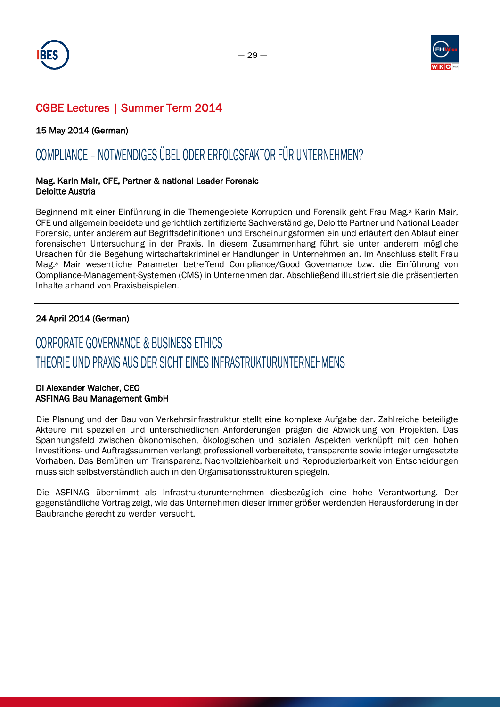



15 May 2014 (German)

# COMPLIANCE – NOTWENDIGES ÜBEL ODER ERFOLGSFAKTOR FÜR UNTERNEHMEN?

#### Mag. Karin Mair, CFE, Partner & national Leader Forensic Deloitte Austria

Beginnend mit einer Einführung in die Themengebiete Korruption und Forensik geht Frau Mag.<sup>a</sup> Karin Mair, CFE und allgemein beeidete und gerichtlich zertifizierte Sachverständige, Deloitte Partner und National Leader Forensic, unter anderem auf Begriffsdefinitionen und Erscheinungsformen ein und erläutert den Ablauf einer forensischen Untersuchung in der Praxis. In diesem Zusammenhang führt sie unter anderem mögliche Ursachen für die Begehung wirtschaftskrimineller Handlungen in Unternehmen an. Im Anschluss stellt Frau Mag.a Mair wesentliche Parameter betreffend Compliance/Good Governance bzw. die Einführung von Compliance-Management-Systemen (CMS) in Unternehmen dar. Abschließend illustriert sie die präsentierten Inhalte anhand von Praxisbeispielen.

### 24 April 2014 (German)

# CORPORATE GOVERNANCE & BUSINESS ETHICS THEORIE UND PRAXIS AUS DER SICHT EINES INFRASTRUKTURUNTERNEHMENS

### DI Alexander Walcher, CEO ASFINAG Bau Management GmbH

Die Planung und der Bau von Verkehrsinfrastruktur stellt eine komplexe Aufgabe dar. Zahlreiche beteiligte Akteure mit speziellen und unterschiedlichen Anforderungen prägen die Abwicklung von Projekten. Das Spannungsfeld zwischen ökonomischen, ökologischen und sozialen Aspekten verknüpft mit den hohen Investitions- und Auftragssummen verlangt professionell vorbereitete, transparente sowie integer umgesetzte Vorhaben. Das Bemühen um Transparenz, Nachvollziehbarkeit und Reproduzierbarkeit von Entscheidungen muss sich selbstverständlich auch in den Organisationsstrukturen spiegeln.

Die ASFINAG übernimmt als Infrastrukturunternehmen diesbezüglich eine hohe Verantwortung. Der gegenständliche Vortrag zeigt, wie das Unternehmen dieser immer größer werdenden Herausforderung in der Baubranche gerecht zu werden versucht.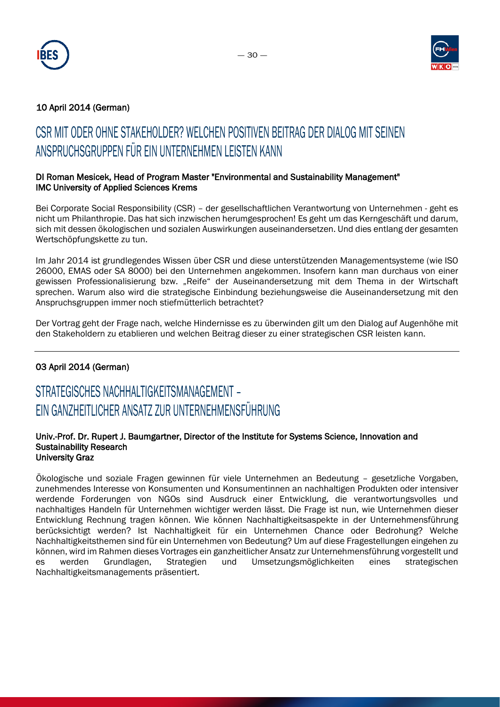



### 10 April 2014 (German)

# CSR MIT ODER OHNE STAKEHOLDER? WELCHEN POSITIVEN BEITRAG DER DIALOG MIT SEINEN ANSPRUCHSGRUPPEN FÜR EIN UNTERNEHMEN LEISTEN KANN

### DI Roman Mesicek, Head of Program Master "Environmental and Sustainability Management" IMC University of Applied Sciences Krems

Bei Corporate Social Responsibility (CSR) – der gesellschaftlichen Verantwortung von Unternehmen - geht es nicht um Philanthropie. Das hat sich inzwischen herumgesprochen! Es geht um das Kerngeschäft und darum, sich mit dessen ökologischen und sozialen Auswirkungen auseinandersetzen. Und dies entlang der gesamten Wertschöpfungskette zu tun.

Im Jahr 2014 ist grundlegendes Wissen über CSR und diese unterstützenden Managementsysteme (wie ISO 26000, EMAS oder SA 8000) bei den Unternehmen angekommen. Insofern kann man durchaus von einer gewissen Professionalisierung bzw. "Reife" der Auseinandersetzung mit dem Thema in der Wirtschaft sprechen. Warum also wird die strategische Einbindung beziehungsweise die Auseinandersetzung mit den Anspruchsgruppen immer noch stiefmütterlich betrachtet?

Der Vortrag geht der Frage nach, welche Hindernisse es zu überwinden gilt um den Dialog auf Augenhöhe mit den Stakeholdern zu etablieren und welchen Beitrag dieser zu einer strategischen CSR leisten kann.

### 03 April 2014 (German)

# STRATEGISCHES NACHHALTIGKEITSMANAGEMENT – EIN GANZHEITLICHER ANSATZ ZUR UNTERNEHMENSFÜHRUNG

#### Univ.-Prof. Dr. Rupert J. Baumgartner, Director of the Institute for Systems Science, Innovation and Sustainability Research University Graz

Ökologische und soziale Fragen gewinnen für viele Unternehmen an Bedeutung – gesetzliche Vorgaben, zunehmendes Interesse von Konsumenten und Konsumentinnen an nachhaltigen Produkten oder intensiver werdende Forderungen von NGOs sind Ausdruck einer Entwicklung, die verantwortungsvolles und nachhaltiges Handeln für Unternehmen wichtiger werden lässt. Die Frage ist nun, wie Unternehmen dieser Entwicklung Rechnung tragen können. Wie können Nachhaltigkeitsaspekte in der Unternehmensführung berücksichtigt werden? Ist Nachhaltigkeit für ein Unternehmen Chance oder Bedrohung? Welche Nachhaltigkeitsthemen sind für ein Unternehmen von Bedeutung? Um auf diese Fragestellungen eingehen zu können, wird im Rahmen dieses Vortrages ein ganzheitlicher Ansatz zur Unternehmensführung vorgestellt und es werden Grundlagen, Strategien und Umsetzungsmöglichkeiten eines strategischen Nachhaltigkeitsmanagements präsentiert.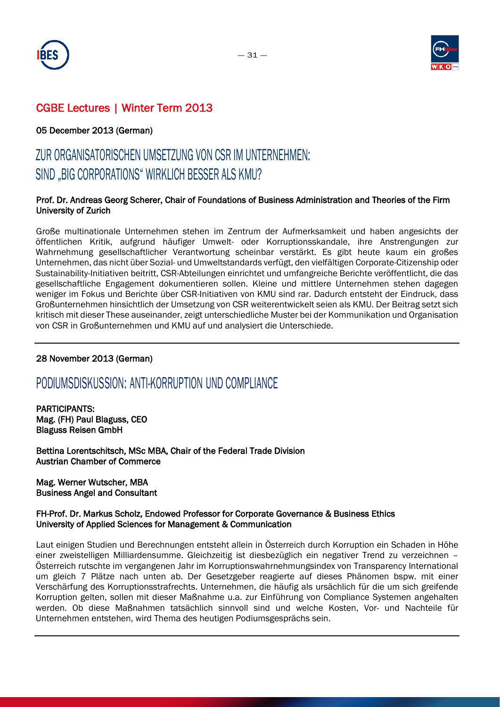



### 05 December 2013 (German)

# ZUR ORGANISATORISCHEN UMSETZUNG VON CSR IM UNTERNEHMEN: SIND "BIG CORPORATIONS" WIRKLICH BESSER ALS KMU?

### Prof. Dr. Andreas Georg Scherer, Chair of Foundations of Business Administration and Theories of the Firm University of Zurich

Große multinationale Unternehmen stehen im Zentrum der Aufmerksamkeit und haben angesichts der öffentlichen Kritik, aufgrund häufiger Umwelt- oder Korruptionsskandale, ihre Anstrengungen zur Wahrnehmung gesellschaftlicher Verantwortung scheinbar verstärkt. Es gibt heute kaum ein großes Unternehmen, das nicht über Sozial- und Umweltstandards verfügt, den vielfältigen Corporate-Citizenship oder Sustainability-Initiativen beitritt, CSR-Abteilungen einrichtet und umfangreiche Berichte veröffentlicht, die das gesellschaftliche Engagement dokumentieren sollen. Kleine und mittlere Unternehmen stehen dagegen weniger im Fokus und Berichte über CSR-Initiativen von KMU sind rar. Dadurch entsteht der Eindruck, dass Großunternehmen hinsichtlich der Umsetzung von CSR weiterentwickelt seien als KMU. Der Beitrag setzt sich kritisch mit dieser These auseinander, zeigt unterschiedliche Muster bei der Kommunikation und Organisation von CSR in Großunternehmen und KMU auf und analysiert die Unterschiede.

### 28 November 2013 (German)

### PODIUMSDISKUSSION: ANTI-KORRUPTION UND COMPLIANCE

PARTICIPANTS: Mag. (FH) Paul Blaguss, CEO Blaguss Reisen GmbH

Bettina Lorentschitsch, MSc MBA, Chair of the Federal Trade Division Austrian Chamber of Commerce

Mag. Werner Wutscher, MBA Business Angel and Consultant

### FH-Prof. Dr. Markus Scholz, Endowed Professor for Corporate Governance & Business Ethics University of Applied Sciences for Management & Communication

Laut einigen Studien und Berechnungen entsteht allein in Österreich durch Korruption ein Schaden in Höhe einer zweistelligen Milliardensumme. Gleichzeitig ist diesbezüglich ein negativer Trend zu verzeichnen – Österreich rutschte im vergangenen Jahr im Korruptionswahrnehmungsindex von Transparency International um gleich 7 Plätze nach unten ab. Der Gesetzgeber reagierte auf dieses Phänomen bspw. mit einer Verschärfung des Korruptionsstrafrechts. Unternehmen, die häufig als ursächlich für die um sich greifende Korruption gelten, sollen mit dieser Maßnahme u.a. zur Einführung von Compliance Systemen angehalten werden. Ob diese Maßnahmen tatsächlich sinnvoll sind und welche Kosten, Vor- und Nachteile für Unternehmen entstehen, wird Thema des heutigen Podiumsgesprächs sein.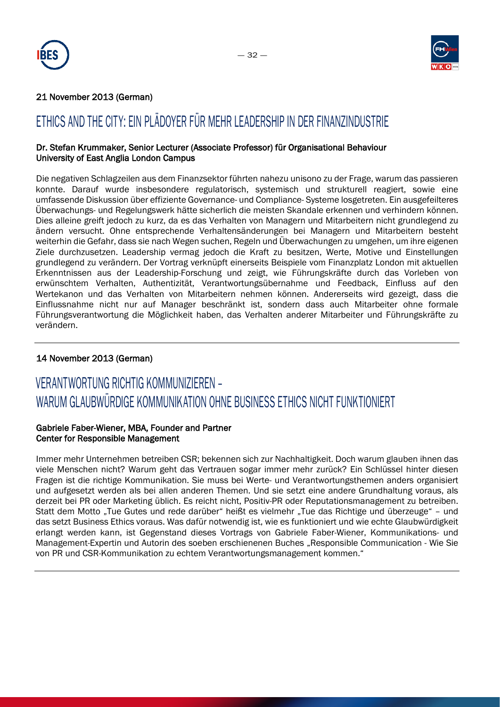



### 21 November 2013 (German)

# ETHICS AND THE CITY: EIN PLÄDOYER FÜR MEHR LEADERSHIP IN DER FINANZINDUSTRIE

### Dr. Stefan Krummaker, Senior Lecturer (Associate Professor) für Organisational Behaviour University of East Anglia London Campus

Die negativen Schlagzeilen aus dem Finanzsektor führten nahezu unisono zu der Frage, warum das passieren konnte. Darauf wurde insbesondere regulatorisch, systemisch und strukturell reagiert, sowie eine umfassende Diskussion über effiziente Governance- und Compliance- Systeme losgetreten. Ein ausgefeilteres Überwachungs- und Regelungswerk hätte sicherlich die meisten Skandale erkennen und verhindern können. Dies alleine greift jedoch zu kurz, da es das Verhalten von Managern und Mitarbeitern nicht grundlegend zu ändern versucht. Ohne entsprechende Verhaltensänderungen bei Managern und Mitarbeitern besteht weiterhin die Gefahr, dass sie nach Wegen suchen, Regeln und Überwachungen zu umgehen, um ihre eigenen Ziele durchzusetzen. Leadership vermag jedoch die Kraft zu besitzen, Werte, Motive und Einstellungen grundlegend zu verändern. Der Vortrag verknüpft einerseits Beispiele vom Finanzplatz London mit aktuellen Erkenntnissen aus der Leadership-Forschung und zeigt, wie Führungskräfte durch das Vorleben von erwünschtem Verhalten, Authentizität, Verantwortungsübernahme und Feedback, Einfluss auf den Wertekanon und das Verhalten von Mitarbeitern nehmen können. Andererseits wird gezeigt, dass die Einflussnahme nicht nur auf Manager beschränkt ist, sondern dass auch Mitarbeiter ohne formale Führungsverantwortung die Möglichkeit haben, das Verhalten anderer Mitarbeiter und Führungskräfte zu verändern.

### 14 November 2013 (German)

# VERANTWORTUNG RICHTIG KOMMUNIZIEREN – WARUM GLAUBWÜRDIGE KOMMUNIKATION OHNE BUSINESS ETHICS NICHT FUNKTIONIERT

### Gabriele Faber-Wiener, MBA, Founder and Partner Center for Responsible Management

Immer mehr Unternehmen betreiben CSR; bekennen sich zur Nachhaltigkeit. Doch warum glauben ihnen das viele Menschen nicht? Warum geht das Vertrauen sogar immer mehr zurück? Ein Schlüssel hinter diesen Fragen ist die richtige Kommunikation. Sie muss bei Werte- und Verantwortungsthemen anders organisiert und aufgesetzt werden als bei allen anderen Themen. Und sie setzt eine andere Grundhaltung voraus, als derzeit bei PR oder Marketing üblich. Es reicht nicht, Positiv-PR oder Reputationsmanagement zu betreiben. Statt dem Motto "Tue Gutes und rede darüber" heißt es vielmehr "Tue das Richtige und überzeuge" – und das setzt Business Ethics voraus. Was dafür notwendig ist, wie es funktioniert und wie echte Glaubwürdigkeit erlangt werden kann, ist Gegenstand dieses Vortrags von Gabriele Faber-Wiener, Kommunikations- und Management-Expertin und Autorin des soeben erschienenen Buches "Responsible Communication - Wie Sie von PR und CSR-Kommunikation zu echtem Verantwortungsmanagement kommen."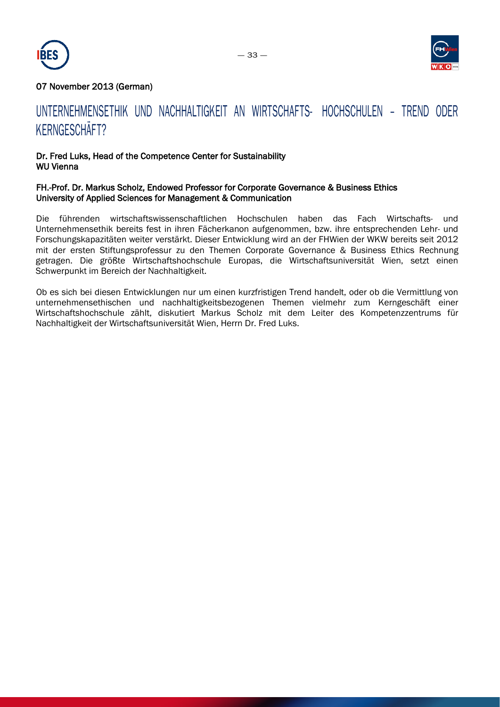



### 07 November 2013 (German)

# UNTERNEHMENSETHIK UND NACHHALTIGKEIT AN WIRTSCHAFTS- HOCHSCHULEN – TREND ODER KERNGESCHÄFT?

### Dr. Fred Luks, Head of the Competence Center for Sustainability WU Vienna

#### FH.-Prof. Dr. Markus Scholz, Endowed Professor for Corporate Governance & Business Ethics University of Applied Sciences for Management & Communication

Die führenden wirtschaftswissenschaftlichen Hochschulen haben das Fach Wirtschafts- und Unternehmensethik bereits fest in ihren Fächerkanon aufgenommen, bzw. ihre entsprechenden Lehr- und Forschungskapazitäten weiter verstärkt. Dieser Entwicklung wird an der FHWien der WKW bereits seit 2012 mit der ersten Stiftungsprofessur zu den Themen Corporate Governance & Business Ethics Rechnung getragen. Die größte Wirtschaftshochschule Europas, die Wirtschaftsuniversität Wien, setzt einen Schwerpunkt im Bereich der Nachhaltigkeit.

Ob es sich bei diesen Entwicklungen nur um einen kurzfristigen Trend handelt, oder ob die Vermittlung von unternehmensethischen und nachhaltigkeitsbezogenen Themen vielmehr zum Kerngeschäft einer Wirtschaftshochschule zählt, diskutiert Markus Scholz mit dem Leiter des Kompetenzzentrums für Nachhaltigkeit der Wirtschaftsuniversität Wien, Herrn Dr. Fred Luks.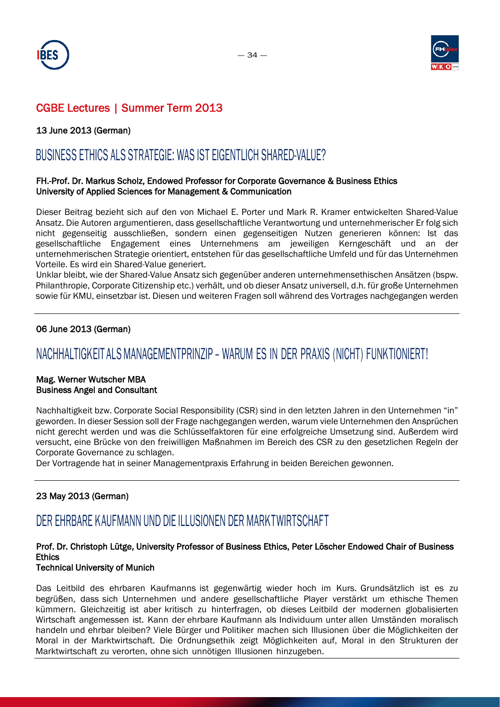



### 13 June 2013 (German)

## BUSINESS ETHICS ALS STRATEGIE: WAS IST EIGENTLICH SHARED-VALUE?

### FH.-Prof. Dr. Markus Scholz, Endowed Professor for Corporate Governance & Business Ethics University of Applied Sciences for Management & Communication

Dieser Beitrag bezieht sich auf den von Michael E. Porter und Mark R. Kramer entwickelten Shared-Value Ansatz. Die Autoren argumentieren, dass gesellschaftliche Verantwortung und unternehmerischer Er folg sich nicht gegenseitig ausschließen, sondern einen gegenseitigen Nutzen generieren können: Ist das gesellschaftliche Engagement eines Unternehmens am jeweiligen Kerngeschäft und an der unternehmerischen Strategie orientiert, entstehen für das gesellschaftliche Umfeld und für das Unternehmen Vorteile. Es wird ein Shared-Value generiert.

Unklar bleibt, wie der Shared-Value Ansatz sich gegenüber anderen unternehmensethischen Ansätzen (bspw. Philanthropie, Corporate Citizenship etc.) verhält, und ob dieser Ansatz universell, d.h. für große Unternehmen sowie für KMU, einsetzbar ist. Diesen und weiteren Fragen soll während des Vortrages nachgegangen werden

### 06 June 2013 (German)

### NACHHALTIGKEIT ALS MANAGEMENTPRINZIP – WARUM ES IN DER PRAXIS (NICHT) FUNKTIONIERT!

#### Mag. Werner Wutscher MBA Business Angel and Consultant

Nachhaltigkeit bzw. Corporate Social Responsibility (CSR) sind in den letzten Jahren in den Unternehmen "in" geworden. In dieser Session soll der Frage nachgegangen werden, warum viele Unternehmen den Ansprüchen nicht gerecht werden und was die Schlüsselfaktoren für eine erfolgreiche Umsetzung sind. Außerdem wird versucht, eine Brücke von den freiwilligen Maßnahmen im Bereich des CSR zu den gesetzlichen Regeln der Corporate Governance zu schlagen.

Der Vortragende hat in seiner Managementpraxis Erfahrung in beiden Bereichen gewonnen.

### 23 May 2013 (German)

### DER EHRBARE KAUFMANN UND DIE ILLUSIONEN DER MARKTWIRTSCHAFT

### Prof. Dr. Christoph Lütge, University Professor of Business Ethics, Peter Löscher Endowed Chair of Business **Ethics**

#### Technical University of Munich

Das Leitbild des ehrbaren Kaufmanns ist gegenwärtig wieder hoch im Kurs. Grundsätzlich ist es zu begrüßen, dass sich Unternehmen und andere gesellschaftliche Player verstärkt um ethische Themen kümmern. Gleichzeitig ist aber kritisch zu hinterfragen, ob dieses Leitbild der modernen globalisierten Wirtschaft angemessen ist. Kann der ehrbare Kaufmann als Individuum unter allen Umständen moralisch handeln und ehrbar bleiben? Viele Bürger und Politiker machen sich Illusionen über die Möglichkeiten der Moral in der Marktwirtschaft. Die Ordnungsethik zeigt Möglichkeiten auf, Moral in den Strukturen der Marktwirtschaft zu verorten, ohne sich unnötigen Illusionen hinzugeben.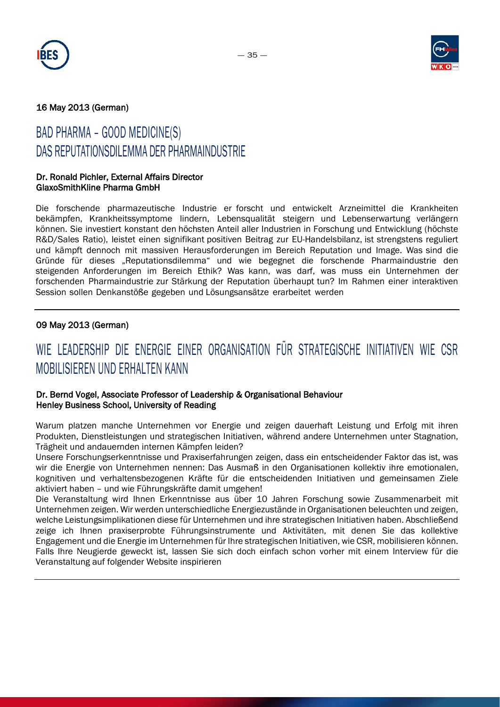



### 16 May 2013 (German)

# BAD PHARMA – GOOD MEDICINE(S) DAS REPUTATIONSDILEMMA DER PHARMAINDUSTRIE

#### Dr. Ronald Pichler, External Affairs Director GlaxoSmithKline Pharma GmbH

Die forschende pharmazeutische Industrie er forscht und entwickelt Arzneimittel die Krankheiten bekämpfen, Krankheitssymptome lindern, Lebensqualität steigern und Lebenserwartung verlängern können. Sie investiert konstant den höchsten Anteil aller Industrien in Forschung und Entwicklung (höchste R&D/Sales Ratio), leistet einen signifikant positiven Beitrag zur EU-Handelsbilanz, ist strengstens reguliert und kämpft dennoch mit massiven Herausforderungen im Bereich Reputation und Image. Was sind die Gründe für dieses "Reputationsdilemma" und wie begegnet die forschende Pharmaindustrie den steigenden Anforderungen im Bereich Ethik? Was kann, was darf, was muss ein Unternehmen der forschenden Pharmaindustrie zur Stärkung der Reputation überhaupt tun? Im Rahmen einer interaktiven Session sollen Denkanstöße gegeben und Lösungsansätze erarbeitet werden

### 09 May 2013 (German)

# WIE LEADERSHIP DIE ENERGIE EINER ORGANISATION FÜR STRATEGISCHE INITIATIVEN WIE CSR MOBILISIEREN UND ERHALTEN KANN

### Dr. Bernd Vogel, Associate Professor of Leadership & Organisational Behaviour Henley Business School, University of Reading

Warum platzen manche Unternehmen vor Energie und zeigen dauerhaft Leistung und Erfolg mit ihren Produkten, Dienstleistungen und strategischen Initiativen, während andere Unternehmen unter Stagnation, Trägheit und andauernden internen Kämpfen leiden?

Unsere Forschungserkenntnisse und Praxiserfahrungen zeigen, dass ein entscheidender Faktor das ist, was wir die Energie von Unternehmen nennen: Das Ausmaß in den Organisationen kollektiv ihre emotionalen, kognitiven und verhaltensbezogenen Kräfte für die entscheidenden Initiativen und gemeinsamen Ziele aktiviert haben – und wie Führungskräfte damit umgehen!

Die Veranstaltung wird Ihnen Erkenntnisse aus über 10 Jahren Forschung sowie Zusammenarbeit mit Unternehmen zeigen. Wir werden unterschiedliche Energiezustände in Organisationen beleuchten und zeigen, welche Leistungsimplikationen diese für Unternehmen und ihre strategischen Initiativen haben. Abschließend zeige ich Ihnen praxiserprobte Führungsinstrumente und Aktivitäten, mit denen Sie das kollektive Engagement und die Energie im Unternehmen für Ihre strategischen Initiativen, wie CSR, mobilisieren können. Falls Ihre Neugierde geweckt ist, lassen Sie sich doch einfach schon vorher mit einem Interview für die Veranstaltung auf folgender Website inspirieren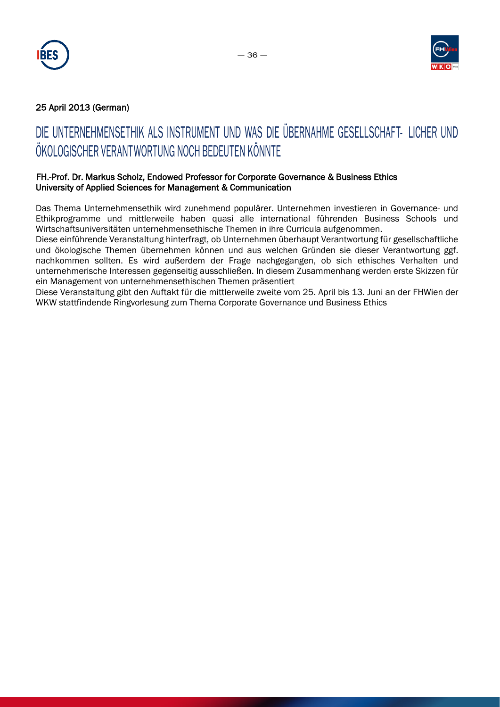



### 25 April 2013 (German)

# DIE UNTERNEHMENSETHIK ALS INSTRUMENT UND WAS DIE ÜBERNAHME GESELLSCHAFT- LICHER UND ÖKOLOGISCHER VERANTWORTUNG NOCH BEDEUTEN KÖNNTE

### FH.-Prof. Dr. Markus Scholz, Endowed Professor for Corporate Governance & Business Ethics University of Applied Sciences for Management & Communication

Das Thema Unternehmensethik wird zunehmend populärer. Unternehmen investieren in Governance- und Ethikprogramme und mittlerweile haben quasi alle international führenden Business Schools und Wirtschaftsuniversitäten unternehmensethische Themen in ihre Curricula aufgenommen.

Diese einführende Veranstaltung hinterfragt, ob Unternehmen überhaupt Verantwortung für gesellschaftliche und ökologische Themen übernehmen können und aus welchen Gründen sie dieser Verantwortung ggf. nachkommen sollten. Es wird außerdem der Frage nachgegangen, ob sich ethisches Verhalten und unternehmerische Interessen gegenseitig ausschließen. In diesem Zusammenhang werden erste Skizzen für ein Management von unternehmensethischen Themen präsentiert

Diese Veranstaltung gibt den Auftakt für die mittlerweile zweite vom 25. April bis 13. Juni an der FHWien der WKW stattfindende Ringvorlesung zum Thema Corporate Governance und Business Ethics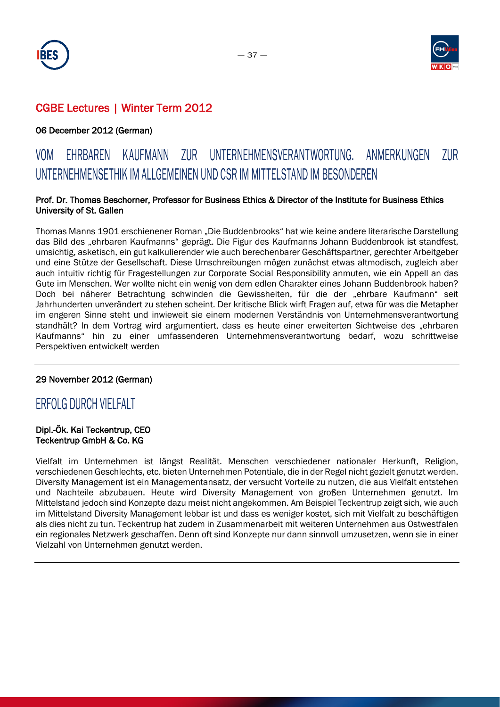



### 06 December 2012 (German)

# VOM EHRBAREN KAUFMANN ZUR UNTERNEHMENSVERANTWORTUNG. ANMERKUNGEN ZUR UNTERNEHMENSETHIK IM ALLGEMEINEN UND CSR IM MITTELSTAND IM BESONDEREN

### Prof. Dr. Thomas Beschorner, Professor for Business Ethics & Director of the Institute for Business Ethics University of St. Gallen

Thomas Manns 1901 erschienener Roman "Die Buddenbrooks" hat wie keine andere literarische Darstellung das Bild des "ehrbaren Kaufmanns" geprägt. Die Figur des Kaufmanns Johann Buddenbrook ist standfest, umsichtig, asketisch, ein gut kalkulierender wie auch berechenbarer Geschäftspartner, gerechter Arbeitgeber und eine Stütze der Gesellschaft. Diese Umschreibungen mögen zunächst etwas altmodisch, zugleich aber auch intuitiv richtig für Fragestellungen zur Corporate Social Responsibility anmuten, wie ein Appell an das Gute im Menschen. Wer wollte nicht ein wenig von dem edlen Charakter eines Johann Buddenbrook haben? Doch bei näherer Betrachtung schwinden die Gewissheiten, für die der "ehrbare Kaufmann" seit Jahrhunderten unverändert zu stehen scheint. Der kritische Blick wirft Fragen auf, etwa für was die Metapher im engeren Sinne steht und inwieweit sie einem modernen Verständnis von Unternehmensverantwortung standhält? In dem Vortrag wird argumentiert, dass es heute einer erweiterten Sichtweise des "ehrbaren Kaufmanns" hin zu einer umfassenderen Unternehmensverantwortung bedarf, wozu schrittweise Perspektiven entwickelt werden

### 29 November 2012 (German)

### ERFOLG DURCH VIELFALT

### Dipl.-Ök. Kai Teckentrup, CEO Teckentrup GmbH & Co. KG

Vielfalt im Unternehmen ist längst Realität. Menschen verschiedener nationaler Herkunft, Religion, verschiedenen Geschlechts, etc. bieten Unternehmen Potentiale, die in der Regel nicht gezielt genutzt werden. Diversity Management ist ein Managementansatz, der versucht Vorteile zu nutzen, die aus Vielfalt entstehen und Nachteile abzubauen. Heute wird Diversity Management von großen Unternehmen genutzt. Im Mittelstand jedoch sind Konzepte dazu meist nicht angekommen. Am Beispiel Teckentrup zeigt sich, wie auch im Mittelstand Diversity Management lebbar ist und dass es weniger kostet, sich mit Vielfalt zu beschäftigen als dies nicht zu tun. Teckentrup hat zudem in Zusammenarbeit mit weiteren Unternehmen aus Ostwestfalen ein regionales Netzwerk geschaffen. Denn oft sind Konzepte nur dann sinnvoll umzusetzen, wenn sie in einer Vielzahl von Unternehmen genutzt werden.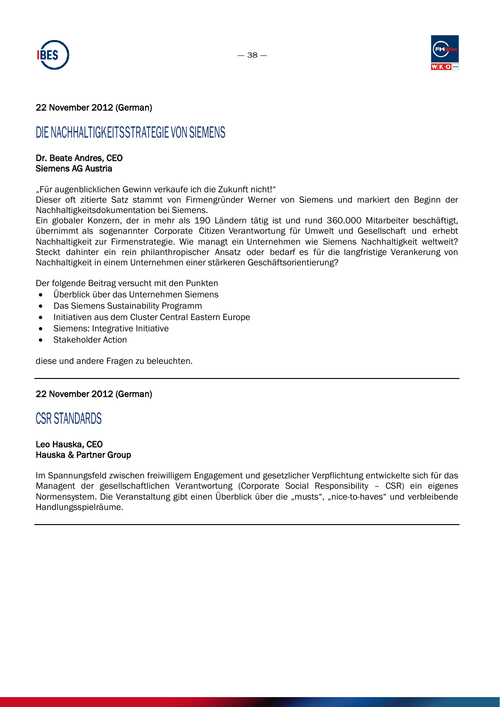



### 22 November 2012 (German)

### DIE NACHHALTIGKEITSSTRATEGIE VON SIEMENS

#### Dr. Beate Andres, CEO Siemens AG Austria

"Für augenblicklichen Gewinn verkaufe ich die Zukunft nicht!"

Dieser oft zitierte Satz stammt von Firmengründer Werner von Siemens und markiert den Beginn der Nachhaltigkeitsdokumentation bei Siemens.

Ein globaler Konzern, der in mehr als 190 Ländern tätig ist und rund 360.000 Mitarbeiter beschäftigt, übernimmt als sogenannter Corporate Citizen Verantwortung für Umwelt und Gesellschaft und erhebt Nachhaltigkeit zur Firmenstrategie. Wie managt ein Unternehmen wie Siemens Nachhaltigkeit weltweit? Steckt dahinter ein rein philanthropischer Ansatz oder bedarf es für die langfristige Verankerung von Nachhaltigkeit in einem Unternehmen einer stärkeren Geschäftsorientierung?

Der folgende Beitrag versucht mit den Punkten

- Überblick über das Unternehmen Siemens
- Das Siemens Sustainability Programm
- Initiativen aus dem Cluster Central Eastern Europe
- Siemens: Integrative Initiative
- Stakeholder Action

diese und andere Fragen zu beleuchten.

#### 22 November 2012 (German)

### CSR STANDARDS

#### Leo Hauska, CEO Hauska & Partner Group

Im Spannungsfeld zwischen freiwilligem Engagement und gesetzlicher Verpflichtung entwickelte sich für das Managent der gesellschaftlichen Verantwortung (Corporate Social Responsibility – CSR) ein eigenes Normensystem. Die Veranstaltung gibt einen Überblick über die "musts", "nice-to-haves" und verbleibende Handlungsspielräume.